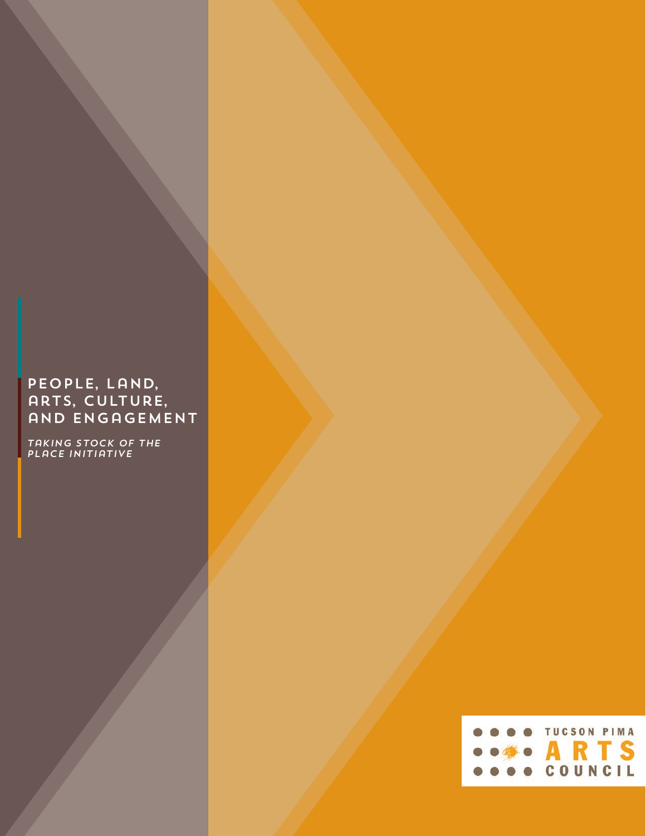# People, Land, ARTS, CULTURE, and Engagement

*Taking Stock of the PLaCE Initiative*

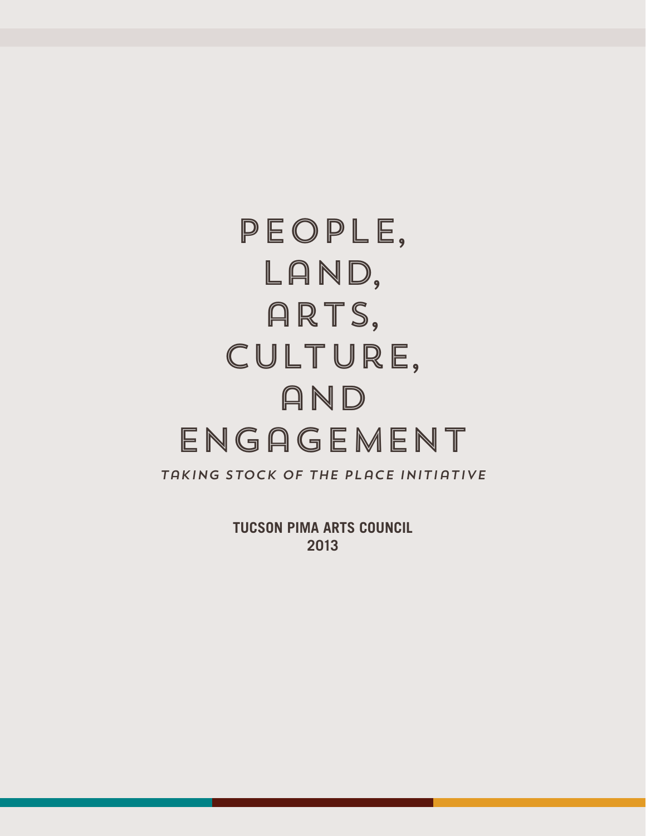# People, Land, ARTS, Culture, and Engagement

*Taking Stock of the PLaCE Initiative*

**TUCSON PIMA ARTS COUNCIL 2013**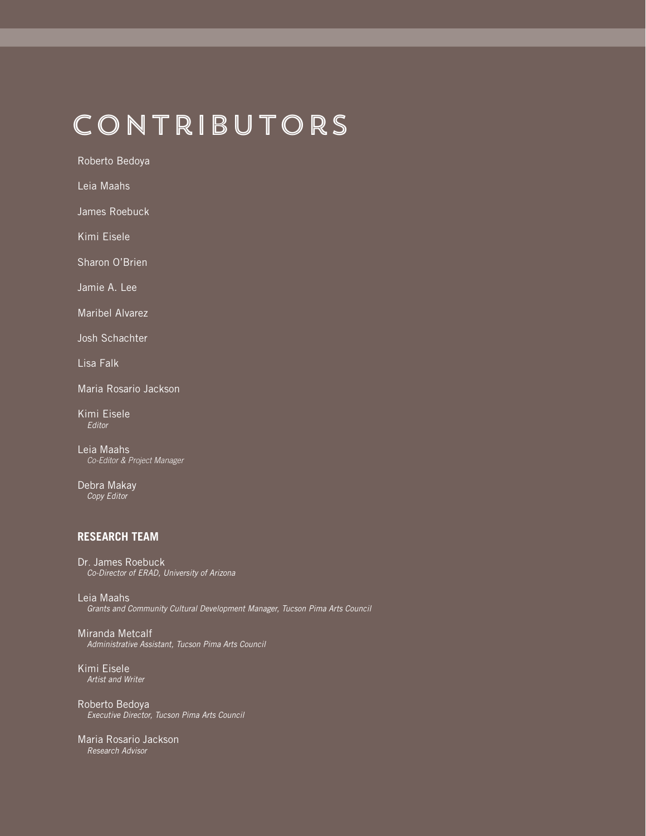# Contributors

Roberto Bedoya

Leia Maahs

James Roebuck

Kimi Eisele

Sharon O'Brien

Jamie A. Lee

Maribel Alvarez

Josh Schachter

Lisa Falk

Maria Rosario Jackson

Kimi Eisele Editor

Leia Maahs Co-Editor & Project Manager

Debra Makay Copy Editor

## **RESEARCH TEAM**

Dr. James Roebuck Co-Director of ERAD, University of Arizona

Leia Maahs Grants and Community Cultural Development Manager, Tucson Pima Arts Council

Miranda Metcalf Administrative Assistant, Tucson Pima Arts Council

Kimi Eisele Artist and Writer

Roberto Bedoya Executive Director, Tucson Pima Arts Council

Maria Rosario Jackson Research Advisor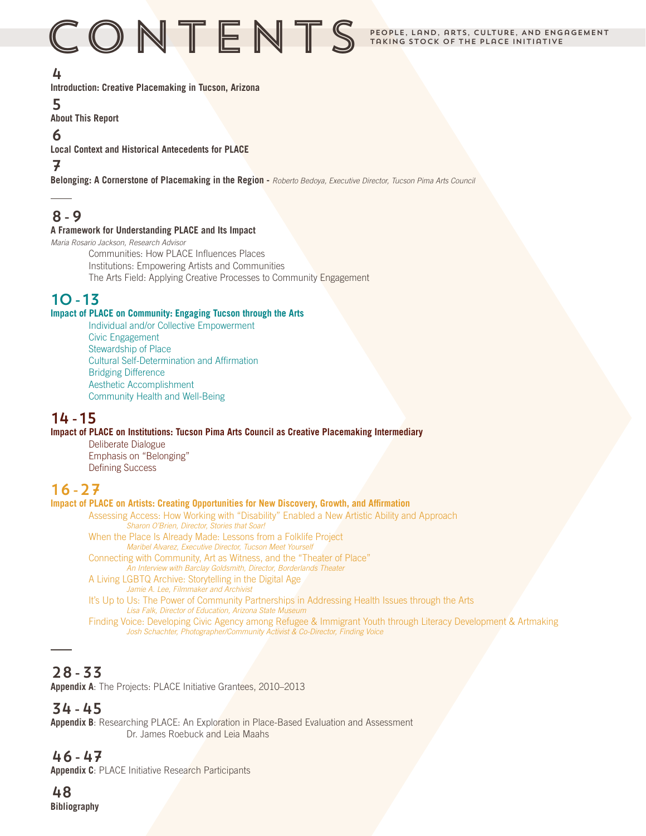# $\subseteq$   $\bigcirc$   $\bigcirc$   $\bigcirc$   $\bigcirc$   $\bigcirc$   $\bigcirc$   $\bigcirc$   $\bigcirc$   $\bigcirc$   $\bigcirc$   $\bigcirc$   $\bigcirc$   $\bigcirc$   $\bigcirc$   $\bigcirc$  arts, culture, and engagement

# 4

**Introduction: Creative Placemaking in Tucson, Arizona**

# 5

**About This Report**

# 6

**Local Context and Historical Antecedents for PLACE**

# 7

**Belonging: A Cornerstone of Placemaking in the Region -** Roberto Bedoya, Executive Director, Tucson Pima Arts Council

# 8-9

## **A Framework for Understanding PLACE and Its Impact**

Maria Rosario Jackson, Research Advisor

Communities: How PLACE Influences Places Institutions: Empowering Artists and Communities The Arts Field: Applying Creative Processes to Community Engagement

# 10-13

## **Impact of PLACE on Community: Engaging Tucson through the Arts**

Individual and/or Collective Empowerment Civic Engagement Stewardship of Place Cultural Self-Determination and Affirmation Bridging Difference Aesthetic Accomplishment Community Health and Well-Being

# 14-15

## **Impact of PLACE on Institutions: Tucson Pima Arts Council as Creative Placemaking Intermediary**

Deliberate Dialogue Emphasis on "Belonging" Defining Success

# 16-27

## **Impact of PLACE on Artists: Creating Opportunities for New Discovery, Growth, and Affirmation**

Assessing Access: How Working with "Disability" Enabled a New Artistic Ability and Approach Sharon O'Brien, Director, Stories that Soar! When the Place Is Already Made: Lessons from a Folklife ProjectMaribel Alvarez, Executive Director, Tucson Meet Yourself

- Connecting with Community, Art as Witness, and the "Theater of Place" An Interview with Barclay Goldsmith, Director, Borderlands Theater
- A Living LGBTQ Archive: Storytelling in the Digital Age
- Jamie A. Lee, Filmmaker and Archivist It's Up to Us: The Power of Community Partnerships in Addressing Health Issues through the ArtsLisa Falk, Director of Education, Arizona State Museum

Finding Voice: Developing Civic Agency among Refugee & Immigrant Youth through Literacy Development & ArtmakingJosh Schachter, Photographer/Community Activist & Co-Director, Finding Voice

# 28-33

**Appendix A**: The Projects: PLACE Initiative Grantees, 2010–2013

# 34-45

**Appendix B**: Researching PLACE: An Exploration in Place-Based Evaluation and Assessment Dr. James Roebuck and Leia Maahs

# 46-47

**Appendix C**: PLACE Initiative Research Participants

# 48 **Bibliography**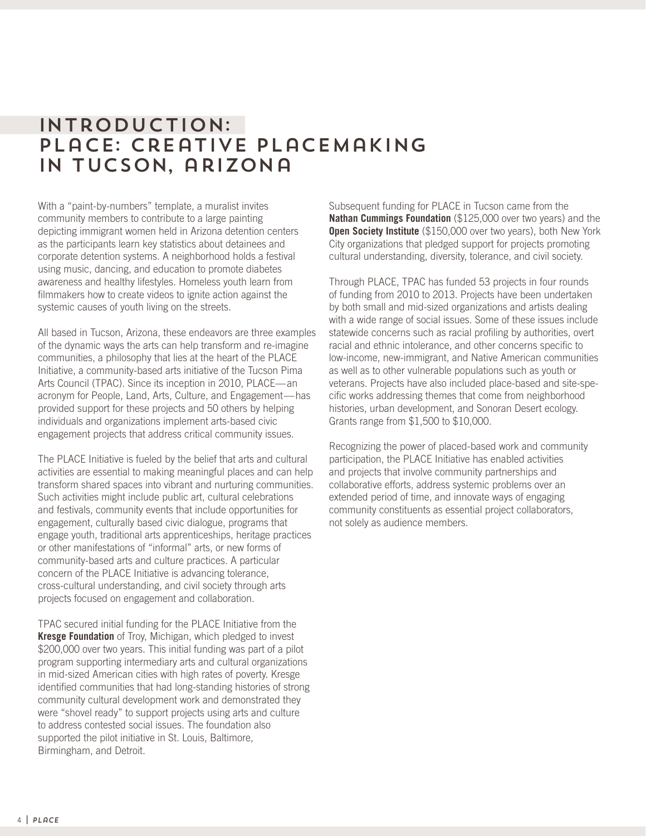# Introduction: PLACE: CREATIVE PLACEMAKING in Tucson, arizona

With a "paint-by-numbers" template, a muralist invites community members to contribute to a large painting depicting immigrant women held in Arizona detention centers as the participants learn key statistics about detainees and corporate detention systems. A neighborhood holds a festival using music, dancing, and education to promote diabetes awareness and healthy lifestyles. Homeless youth learn from filmmakers how to create videos to ignite action against the systemic causes of youth living on the streets.

All based in Tucson, Arizona, these endeavors are three examples of the dynamic ways the arts can help transform and re-imagine communities, a philosophy that lies at the heart of the PLACE Initiative, a community-based arts initiative of the Tucson Pima Arts Council (TPAC). Since its inception in 2010, PLACE—an acronym for People, Land, Arts, Culture, and Engagement—has provided support for these projects and 50 others by helping individuals and organizations implement arts-based civic engagement projects that address critical community issues.

The PLACE Initiative is fueled by the belief that arts and cultural activities are essential to making meaningful places and can help transform shared spaces into vibrant and nurturing communities. Such activities might include public art, cultural celebrations and festivals, community events that include opportunities for engagement, culturally based civic dialogue, programs that engage youth, traditional arts apprenticeships, heritage practices or other manifestations of "informal" arts, or new forms of community-based arts and culture practices. A particular concern of the PLACE Initiative is advancing tolerance, cross-cultural understanding, and civil society through arts projects focused on engagement and collaboration.

TPAC secured initial funding for the PLACE Initiative from the **Kresge Foundation** of Troy, Michigan, which pledged to invest \$200,000 over two years. This initial funding was part of a pilot program supporting intermediary arts and cultural organizations in mid-sized American cities with high rates of poverty. Kresge identified communities that had long-standing histories of strong community cultural development work and demonstrated they were "shovel ready" to support projects using arts and culture to address contested social issues. The foundation also supported the pilot initiative in St. Louis, Baltimore, Birmingham, and Detroit.

Subsequent funding for PLACE in Tucson came from the **Nathan Cummings Foundation** (\$125,000 over two years) and the **Open Society Institute** (\$150,000 over two years), both New York City organizations that pledged support for projects promoting cultural understanding, diversity, tolerance, and civil society.

Through PLACE, TPAC has funded 53 projects in four rounds of funding from 2010 to 2013. Projects have been undertaken by both small and mid-sized organizations and artists dealing with a wide range of social issues. Some of these issues include statewide concerns such as racial profiling by authorities, overt racial and ethnic intolerance, and other concerns specific to low-income, new-immigrant, and Native American communities as well as to other vulnerable populations such as youth or veterans. Projects have also included place-based and site-specific works addressing themes that come from neighborhood histories, urban development, and Sonoran Desert ecology. Grants range from \$1,500 to \$10,000.

Recognizing the power of placed-based work and community participation, the PLACE Initiative has enabled activities and projects that involve community partnerships and collaborative efforts, address systemic problems over an extended period of time, and innovate ways of engaging community constituents as essential project collaborators, not solely as audience members.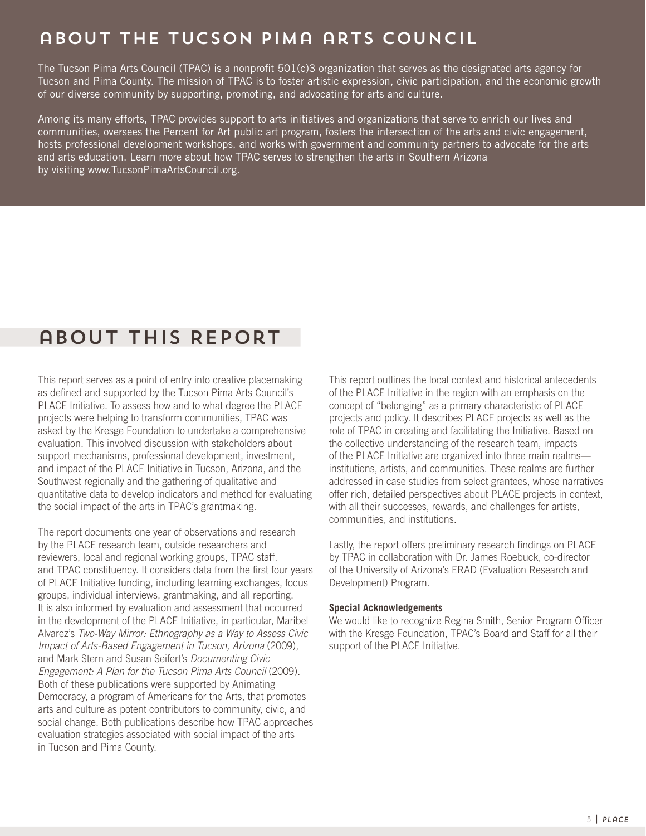# about the Tucson Pima arts Council

The Tucson Pima Arts Council (TPAC) is a nonprofit 501(c)3 organization that serves as the designated arts agency for Tucson and Pima County. The mission of TPAC is to foster artistic expression, civic participation, and the economic growth of our diverse community by supporting, promoting, and advocating for arts and culture.

Among its many efforts, TPAC provides support to arts initiatives and organizations that serve to enrich our lives and communities, oversees the Percent for Art public art program, fosters the intersection of the arts and civic engagement, hosts professional development workshops, and works with government and community partners to advocate for the arts and arts education. Learn more about how TPAC serves to strengthen the arts in Southern Arizona by visiting www.TucsonPimaArtsCouncil.org.

# about This Report

This report serves as a point of entry into creative placemaking as defined and supported by the Tucson Pima Arts Council's PLACE Initiative. To assess how and to what degree the PLACE projects were helping to transform communities, TPAC was asked by the Kresge Foundation to undertake a comprehensive evaluation. This involved discussion with stakeholders about support mechanisms, professional development, investment, and impact of the PLACE Initiative in Tucson, Arizona, and the Southwest regionally and the gathering of qualitative and quantitative data to develop indicators and method for evaluating the social impact of the arts in TPAC's grantmaking.

The report documents one year of observations and research by the PLACE research team, outside researchers and reviewers, local and regional working groups, TPAC staff, and TPAC constituency. It considers data from the first four years of PLACE Initiative funding, including learning exchanges, focus groups, individual interviews, grantmaking, and all reporting. It is also informed by evaluation and assessment that occurred in the development of the PLACE Initiative, in particular, Maribel Alvarez's Two-Way Mirror: Ethnography as a Way to Assess Civic Impact of Arts-Based Engagement in Tucson, Arizona (2009), and Mark Stern and Susan Seifert's Documenting Civic Engagement: A Plan for the Tucson Pima Arts Council (2009). Both of these publications were supported by Animating Democracy, a program of Americans for the Arts, that promotes arts and culture as potent contributors to community, civic, and social change. Both publications describe how TPAC approaches evaluation strategies associated with social impact of the arts in Tucson and Pima County.

This report outlines the local context and historical antecedents of the PLACE Initiative in the region with an emphasis on the concept of "belonging" as a primary characteristic of PLACE projects and policy. It describes PLACE projects as well as the role of TPAC in creating and facilitating the Initiative. Based on the collective understanding of the research team, impacts of the PLACE Initiative are organized into three main realms institutions, artists, and communities. These realms are further addressed in case studies from select grantees, whose narratives offer rich, detailed perspectives about PLACE projects in context, with all their successes, rewards, and challenges for artists, communities, and institutions.

Lastly, the report offers preliminary research findings on PLACE by TPAC in collaboration with Dr. James Roebuck, co-director of the University of Arizona's ERAD (Evaluation Research and Development) Program.

#### **Special Acknowledgements**

We would like to recognize Regina Smith, Senior Program Officer with the Kresge Foundation, TPAC's Board and Staff for all their support of the PLACE Initiative.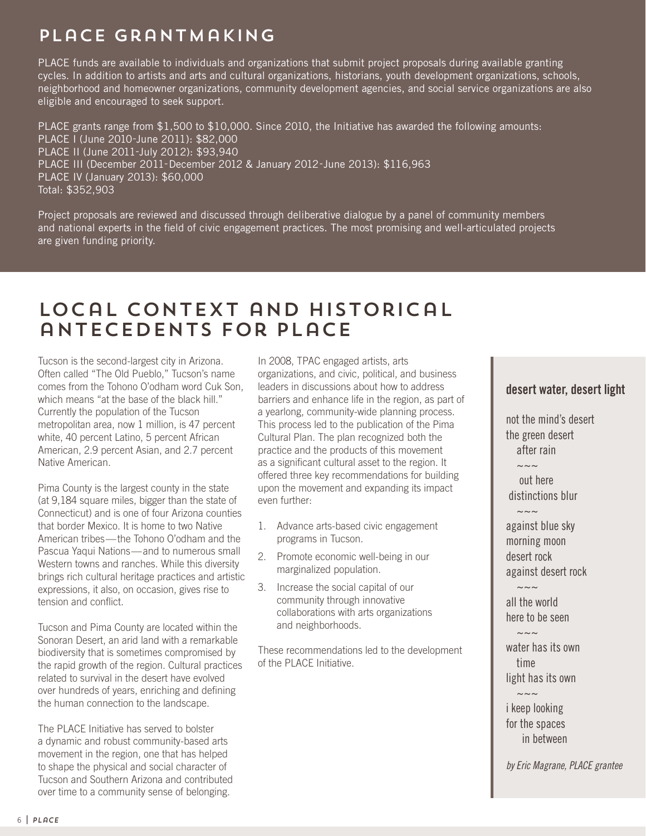# PLaCE Grantmaking

PLACE funds are available to individuals and organizations that submit project proposals during available granting cycles. In addition to artists and arts and cultural organizations, historians, youth development organizations, schools, neighborhood and homeowner organizations, community development agencies, and social service organizations are also eligible and encouraged to seek support.

PLACE grants range from \$1,500 to \$10,000. Since 2010, the Initiative has awarded the following amounts: PLACE I (June 2010-June 2011): \$82,000 PLACE II (June 2011-July 2012): \$93,940 PLACE III (December 2011-December 2012 & January 2012-June 2013): \$116,963 PLACE IV (January 2013): \$60,000 Total: \$352,903

Project proposals are reviewed and discussed through deliberative dialogue by a panel of community members and national experts in the field of civic engagement practices. The most promising and well-articulated projects are given funding priority.

# Local Context and Historical antecedents for PLaCE

Tucson is the second-largest city in Arizona. Often called "The Old Pueblo," Tucson's name comes from the Tohono O'odham word Cuk Son, which means "at the base of the black hill." Currently the population of the Tucson metropolitan area, now 1 million, is 47 percent white, 40 percent Latino, 5 percent African American, 2.9 percent Asian, and 2.7 percent Native American.

Pima County is the largest county in the state (at 9,184 square miles, bigger than the state of Connecticut) and is one of four Arizona counties that border Mexico. It is home to two Native American tribes—the Tohono O'odham and the Pascua Yaqui Nations—and to numerous small Western towns and ranches. While this diversity brings rich cultural heritage practices and artistic expressions, it also, on occasion, gives rise to tension and conflict.

Tucson and Pima County are located within the Sonoran Desert, an arid land with a remarkable biodiversity that is sometimes compromised by the rapid growth of the region. Cultural practices related to survival in the desert have evolved over hundreds of years, enriching and defining the human connection to the landscape.

The PLACE Initiative has served to bolster a dynamic and robust community-based arts movement in the region, one that has helped to shape the physical and social character of Tucson and Southern Arizona and contributed over time to a community sense of belonging.

In 2008, TPAC engaged artists, arts organizations, and civic, political, and business leaders in discussions about how to address barriers and enhance life in the region, as part of a yearlong, community-wide planning process. This process led to the publication of the Pima Cultural Plan. The plan recognized both the practice and the products of this movement as a significant cultural asset to the region. It offered three key recommendations for building upon the movement and expanding its impact even further:

- 1. Advance arts-based civic engagement programs in Tucson.
- 2. Promote economic well-being in our marginalized population.
- 3. Increase the social capital of our community through innovative collaborations with arts organizations and neighborhoods.

These recommendations led to the development of the PLACE Initiative.

# **desert water, desert light**

not the mind's desert the green desert after rain

 out here distinctions blur

 $\sim\sim\sim$ 

~~~

~~~

 $\sim\sim\sim$ 

 $\sim\sim\sim$ 

against blue sky morning moon desert rock against desert rock

all the world here to be seen

water has its own time light has its own

i keep looking for the spaces in between

by Eric Magrane, PLACE grantee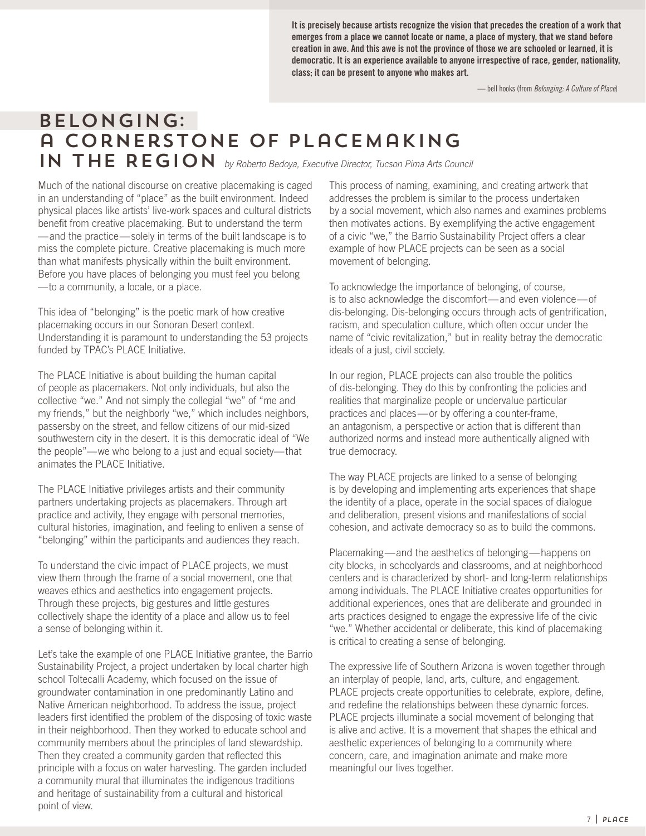**It is precisely because artists recognize the vision that precedes the creation of a work that emerges from a place we cannot locate or name, a place of mystery, that we stand before creation in awe. And this awe is not the province of those we are schooled or learned, it is democratic. It is an experience available to anyone irrespective of race, gender, nationality, class; it can be present to anyone who makes art.** 

— bell hooks (from Belonging: A Culture of Place)

# Belonging: a Cornerstone of Placemaking IN THE REGION by Roberto Bedoya, Executive Director, Tucson Pima Arts Council

Much of the national discourse on creative placemaking is caged in an understanding of "place" as the built environment. Indeed physical places like artists' live-work spaces and cultural districts benefit from creative placemaking. But to understand the term —and the practice—solely in terms of the built landscape is to miss the complete picture. Creative placemaking is much more than what manifests physically within the built environment. Before you have places of belonging you must feel you belong —to a community, a locale, or a place.

This idea of "belonging" is the poetic mark of how creative placemaking occurs in our Sonoran Desert context. Understanding it is paramount to understanding the 53 projects funded by TPAC's PLACE Initiative.

The PLACE Initiative is about building the human capital of people as placemakers. Not only individuals, but also the collective "we." And not simply the collegial "we" of "me and my friends," but the neighborly "we," which includes neighbors, passersby on the street, and fellow citizens of our mid-sized southwestern city in the desert. It is this democratic ideal of "We the people"—we who belong to a just and equal society—that animates the PLACE Initiative.

The PLACE Initiative privileges artists and their community partners undertaking projects as placemakers. Through art practice and activity, they engage with personal memories, cultural histories, imagination, and feeling to enliven a sense of "belonging" within the participants and audiences they reach.

To understand the civic impact of PLACE projects, we must view them through the frame of a social movement, one that weaves ethics and aesthetics into engagement projects. Through these projects, big gestures and little gestures collectively shape the identity of a place and allow us to feel a sense of belonging within it.

Let's take the example of one PLACE Initiative grantee, the Barrio Sustainability Project, a project undertaken by local charter high school Toltecalli Academy, which focused on the issue of groundwater contamination in one predominantly Latino and Native American neighborhood. To address the issue, project leaders first identified the problem of the disposing of toxic waste in their neighborhood. Then they worked to educate school and community members about the principles of land stewardship. Then they created a community garden that reflected this principle with a focus on water harvesting. The garden included a community mural that illuminates the indigenous traditions and heritage of sustainability from a cultural and historical point of view.

This process of naming, examining, and creating artwork that addresses the problem is similar to the process undertaken by a social movement, which also names and examines problems then motivates actions. By exemplifying the active engagement of a civic "we," the Barrio Sustainability Project offers a clear example of how PLACE projects can be seen as a social movement of belonging.

To acknowledge the importance of belonging, of course, is to also acknowledge the discomfort—and even violence—of dis-belonging. Dis-belonging occurs through acts of gentrification, racism, and speculation culture, which often occur under the name of "civic revitalization," but in reality betray the democratic ideals of a just, civil society.

In our region, PLACE projects can also trouble the politics of dis-belonging. They do this by confronting the policies and realities that marginalize people or undervalue particular practices and places—or by offering a counter-frame, an antagonism, a perspective or action that is different than authorized norms and instead more authentically aligned with true democracy.

The way PLACE projects are linked to a sense of belonging is by developing and implementing arts experiences that shape the identity of a place, operate in the social spaces of dialogue and deliberation, present visions and manifestations of social cohesion, and activate democracy so as to build the commons.

Placemaking—and the aesthetics of belonging—happens on city blocks, in schoolyards and classrooms, and at neighborhood centers and is characterized by short- and long-term relationships among individuals. The PLACE Initiative creates opportunities for additional experiences, ones that are deliberate and grounded in arts practices designed to engage the expressive life of the civic "we." Whether accidental or deliberate, this kind of placemaking is critical to creating a sense of belonging.

The expressive life of Southern Arizona is woven together through an interplay of people, land, arts, culture, and engagement. PLACE projects create opportunities to celebrate, explore, define, and redefine the relationships between these dynamic forces. PLACE projects illuminate a social movement of belonging that is alive and active. It is a movement that shapes the ethical and aesthetic experiences of belonging to a community where concern, care, and imagination animate and make more meaningful our lives together.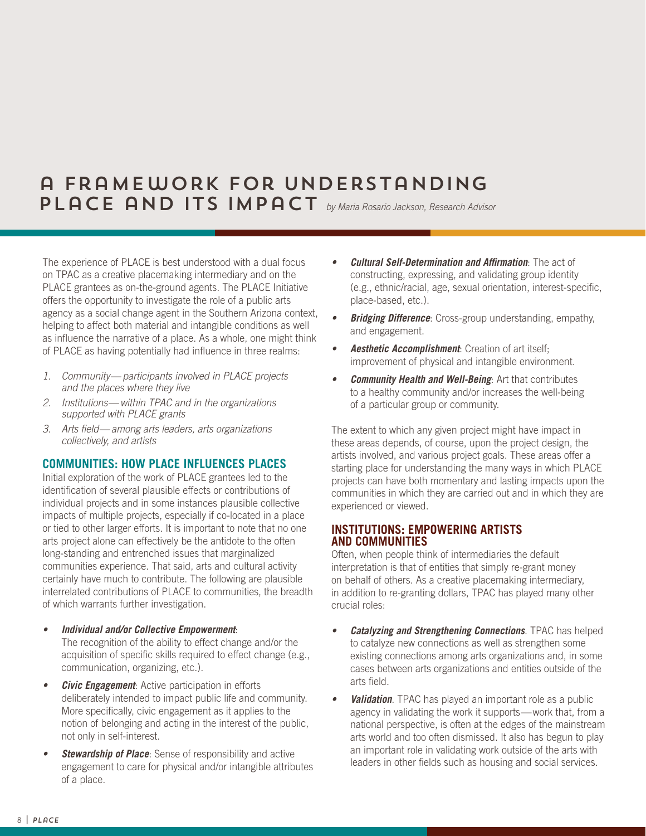# a Framework for Understanding PLACE AND ITS IMPACT by Maria Rosario Jackson, Research Advisor

The experience of PLACE is best understood with a dual focus on TPAC as a creative placemaking intermediary and on the PLACE grantees as on-the-ground agents. The PLACE Initiative offers the opportunity to investigate the role of a public arts agency as a social change agent in the Southern Arizona context, helping to affect both material and intangible conditions as well as influence the narrative of a place. As a whole, one might think of PLACE as having potentially had influence in three realms:

- 1. Community—participants involved in PLACE projects and the places where they live
- 2. Institutions—within TPAC and in the organizations supported with PLACE grants
- 3. Arts field—among arts leaders, arts organizations collectively, and artists

## **COMMUNITIES: HOW PLACE INFLUENCES PLACES**

Initial exploration of the work of PLACE grantees led to the identification of several plausible effects or contributions of individual projects and in some instances plausible collective impacts of multiple projects, especially if co-located in a place or tied to other larger efforts. It is important to note that no one arts project alone can effectively be the antidote to the often long-standing and entrenched issues that marginalized communities experience. That said, arts and cultural activity certainly have much to contribute. The following are plausible interrelated contributions of PLACE to communities, the breadth of which warrants further investigation.

- **• Individual and/or Collective Empowerment**: The recognition of the ability to effect change and/or the acquisition of specific skills required to effect change (e.g., communication, organizing, etc.).
- *Civic Engagement:* Active participation in efforts deliberately intended to impact public life and community. More specifically, civic engagement as it applies to the notion of belonging and acting in the interest of the public, not only in self-interest.
- **• Stewardship of Place**: Sense of responsibility and active engagement to care for physical and/or intangible attributes of a place.
- **• Cultural Self-Determination and Affirmation**: The act of constructing, expressing, and validating group identity (e.g., ethnic/racial, age, sexual orientation, interest-specific, place-based, etc.).
- **• Bridging Difference**: Cross-group understanding, empathy, and engagement.
- **• Aesthetic Accomplishment**: Creation of art itself; improvement of physical and intangible environment.
- **• Community Health and Well-Being**: Art that contributes to a healthy community and/or increases the well-being of a particular group or community.

The extent to which any given project might have impact in these areas depends, of course, upon the project design, the artists involved, and various project goals. These areas offer a starting place for understanding the many ways in which PLACE projects can have both momentary and lasting impacts upon the communities in which they are carried out and in which they are experienced or viewed.

## **INSTITUTIONS: EMPOWERING ARTISTS AND COMMUNITIES**

Often, when people think of intermediaries the default interpretation is that of entities that simply re-grant money on behalf of others. As a creative placemaking intermediary, in addition to re-granting dollars, TPAC has played many other crucial roles:

- **• Catalyzing and Strengthening Connections**. TPAC has helped to catalyze new connections as well as strengthen some existing connections among arts organizations and, in some cases between arts organizations and entities outside of the arts field.
- *Validation*. TPAC has played an important role as a public agency in validating the work it supports—work that, from a national perspective, is often at the edges of the mainstream arts world and too often dismissed. It also has begun to play an important role in validating work outside of the arts with leaders in other fields such as housing and social services.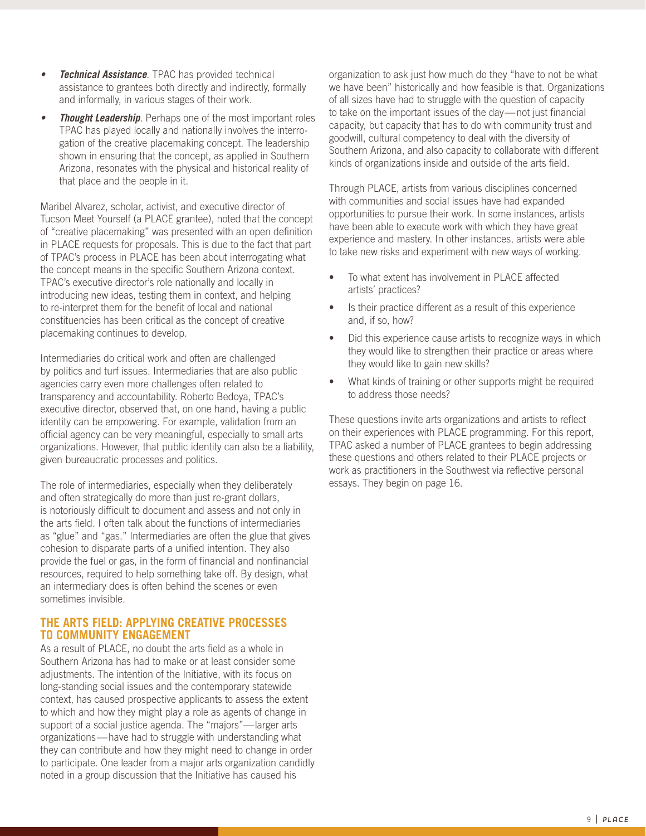- **• Technical Assistance**. TPAC has provided technical assistance to grantees both directly and indirectly, formally and informally, in various stages of their work.
- *Thought Leadership.* Perhaps one of the most important roles TPAC has played locally and nationally involves the interrogation of the creative placemaking concept. The leadership shown in ensuring that the concept, as applied in Southern Arizona, resonates with the physical and historical reality of that place and the people in it.

Maribel Alvarez, scholar, activist, and executive director of Tucson Meet Yourself (a PLACE grantee), noted that the concept of "creative placemaking" was presented with an open definition in PLACE requests for proposals. This is due to the fact that part of TPAC's process in PLACE has been about interrogating what the concept means in the specific Southern Arizona context. TPAC's executive director's role nationally and locally in introducing new ideas, testing them in context, and helping to re-interpret them for the benefit of local and national constituencies has been critical as the concept of creative placemaking continues to develop.

Intermediaries do critical work and often are challenged by politics and turf issues. Intermediaries that are also public agencies carry even more challenges often related to transparency and accountability. Roberto Bedoya, TPAC's executive director, observed that, on one hand, having a public identity can be empowering. For example, validation from an official agency can be very meaningful, especially to small arts organizations. However, that public identity can also be a liability, given bureaucratic processes and politics.

The role of intermediaries, especially when they deliberately and often strategically do more than just re-grant dollars, is notoriously difficult to document and assess and not only in the arts field. I often talk about the functions of intermediaries as "glue" and "gas." Intermediaries are often the glue that gives cohesion to disparate parts of a unified intention. They also provide the fuel or gas, in the form of financial and nonfinancial resources, required to help something take off. By design, what an intermediary does is often behind the scenes or even sometimes invisible.

## **THE ARTS FIELD: APPLYING CREATIVE PROCESSES TO COMMUNITY ENGAGEMENT**

As a result of PLACE, no doubt the arts field as a whole in Southern Arizona has had to make or at least consider some adjustments. The intention of the Initiative, with its focus on long-standing social issues and the contemporary statewide context, has caused prospective applicants to assess the extent to which and how they might play a role as agents of change in support of a social justice agenda. The "majors"—larger arts organizations—have had to struggle with understanding what they can contribute and how they might need to change in order to participate. One leader from a major arts organization candidly noted in a group discussion that the Initiative has caused his

organization to ask just how much do they "have to not be what we have been" historically and how feasible is that. Organizations of all sizes have had to struggle with the question of capacity to take on the important issues of the day—not just financial capacity, but capacity that has to do with community trust and goodwill, cultural competency to deal with the diversity of Southern Arizona, and also capacity to collaborate with different kinds of organizations inside and outside of the arts field.

Through PLACE, artists from various disciplines concerned with communities and social issues have had expanded opportunities to pursue their work. In some instances, artists have been able to execute work with which they have great experience and mastery. In other instances, artists were able to take new risks and experiment with new ways of working.

- To what extent has involvement in PLACE affected artists' practices?
- Is their practice different as a result of this experience and, if so, how?
- Did this experience cause artists to recognize ways in which they would like to strengthen their practice or areas where they would like to gain new skills?
- What kinds of training or other supports might be required to address those needs?

These questions invite arts organizations and artists to reflect on their experiences with PLACE programming. For this report, TPAC asked a number of PLACE grantees to begin addressing these questions and others related to their PLACE projects or work as practitioners in the Southwest via reflective personal essays. They begin on page 16.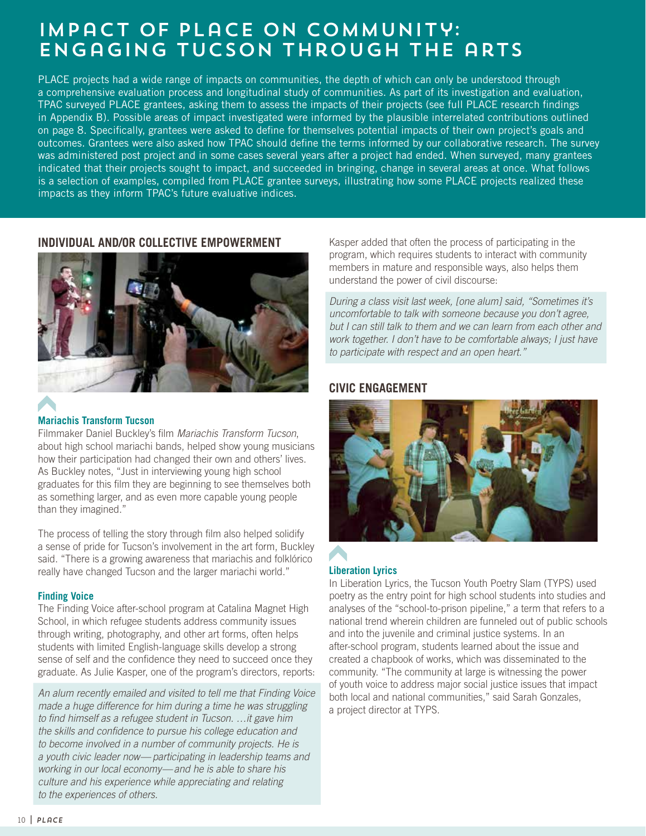# Impact of PLaCE on Community: Engaging Tucson through the arts

PLACE projects had a wide range of impacts on communities, the depth of which can only be understood through a comprehensive evaluation process and longitudinal study of communities. As part of its investigation and evaluation, TPAC surveyed PLACE grantees, asking them to assess the impacts of their projects (see full PLACE research findings in Appendix B). Possible areas of impact investigated were informed by the plausible interrelated contributions outlined on page 8. Specifically, grantees were asked to define for themselves potential impacts of their own project's goals and outcomes. Grantees were also asked how TPAC should define the terms informed by our collaborative research. The survey was administered post project and in some cases several years after a project had ended. When surveyed, many grantees indicated that their projects sought to impact, and succeeded in bringing, change in several areas at once. What follows is a selection of examples, compiled from PLACE grantee surveys, illustrating how some PLACE projects realized these impacts as they inform TPAC's future evaluative indices.

## **INDIVIDUAL AND/OR COLLECTIVE EMPOWERMENT**



# **Mariachis Transform Tucson**

Filmmaker Daniel Buckley's film Mariachis Transform Tucson, about high school mariachi bands, helped show young musicians how their participation had changed their own and others' lives. As Buckley notes, "Just in interviewing young high school graduates for this film they are beginning to see themselves both as something larger, and as even more capable young people than they imagined."

The process of telling the story through film also helped solidify a sense of pride for Tucson's involvement in the art form, Buckley said. "There is a growing awareness that mariachis and folklórico really have changed Tucson and the larger mariachi world."

## **Finding Voice**

The Finding Voice after-school program at Catalina Magnet High School, in which refugee students address community issues through writing, photography, and other art forms, often helps students with limited English-language skills develop a strong sense of self and the confidence they need to succeed once they graduate. As Julie Kasper, one of the program's directors, reports:

An alum recently emailed and visited to tell me that Finding Voice made a huge difference for him during a time he was struggling to find himself as a refugee student in Tucson. …it gave him the skills and confidence to pursue his college education and to become involved in a number of community projects. He is a youth civic leader now—participating in leadership teams and working in our local economy—and he is able to share his culture and his experience while appreciating and relating to the experiences of others.

Kasper added that often the process of participating in the program, which requires students to interact with community members in mature and responsible ways, also helps them understand the power of civil discourse:

During a class visit last week, [one alum] said, "Sometimes it's uncomfortable to talk with someone because you don't agree, but I can still talk to them and we can learn from each other and work together. I don't have to be comfortable always; I just have to participate with respect and an open heart."

# **CIVIC ENGAGEMENT**



## **Liberation Lyrics**

In Liberation Lyrics, the Tucson Youth Poetry Slam (TYPS) used poetry as the entry point for high school students into studies and analyses of the "school-to-prison pipeline," a term that refers to a national trend wherein children are funneled out of public schools and into the juvenile and criminal justice systems. In an after-school program, students learned about the issue and created a chapbook of works, which was disseminated to the community. "The community at large is witnessing the power of youth voice to address major social justice issues that impact both local and national communities," said Sarah Gonzales, a project director at TYPS.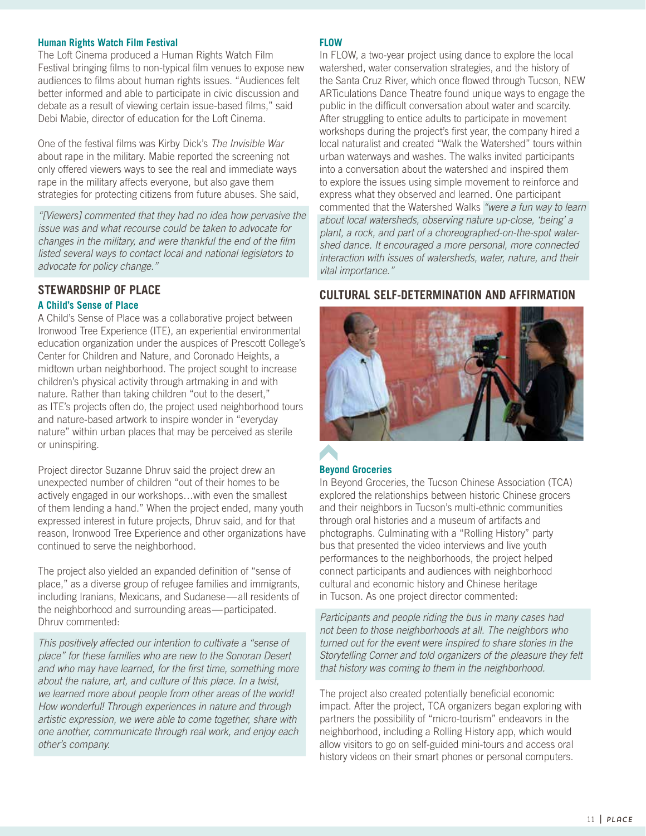#### **Human Rights Watch Film Festival**

The Loft Cinema produced a Human Rights Watch Film Festival bringing films to non-typical film venues to expose new audiences to films about human rights issues. "Audiences felt better informed and able to participate in civic discussion and debate as a result of viewing certain issue-based films," said Debi Mabie, director of education for the Loft Cinema.

One of the festival films was Kirby Dick's The Invisible War about rape in the military. Mabie reported the screening not only offered viewers ways to see the real and immediate ways rape in the military affects everyone, but also gave them strategies for protecting citizens from future abuses. She said,

"[Viewers] commented that they had no idea how pervasive the issue was and what recourse could be taken to advocate for changes in the military, and were thankful the end of the film listed several ways to contact local and national legislators to advocate for policy change."

# **STEWARDSHIP OF PLACE**

## **A Child's Sense of Place**

A Child's Sense of Place was a collaborative project between Ironwood Tree Experience (ITE), an experiential environmental education organization under the auspices of Prescott College's Center for Children and Nature, and Coronado Heights, a midtown urban neighborhood. The project sought to increase children's physical activity through artmaking in and with nature. Rather than taking children "out to the desert," as ITE's projects often do, the project used neighborhood tours and nature-based artwork to inspire wonder in "everyday nature" within urban places that may be perceived as sterile or uninspiring.

Project director Suzanne Dhruv said the project drew an unexpected number of children "out of their homes to be actively engaged in our workshops…with even the smallest of them lending a hand." When the project ended, many youth expressed interest in future projects, Dhruv said, and for that reason, Ironwood Tree Experience and other organizations have continued to serve the neighborhood.

The project also yielded an expanded definition of "sense of place," as a diverse group of refugee families and immigrants, including Iranians, Mexicans, and Sudanese—all residents of the neighborhood and surrounding areas—participated. Dhruv commented:

This positively affected our intention to cultivate a "sense of place" for these families who are new to the Sonoran Desert and who may have learned, for the first time, something more about the nature, art, and culture of this place. In a twist, we learned more about people from other areas of the world! How wonderful! Through experiences in nature and through artistic expression, we were able to come together, share with one another, communicate through real work, and enjoy each other's company.

#### **FLOW**

In FLOW, a two-year project using dance to explore the local watershed, water conservation strategies, and the history of the Santa Cruz River, which once flowed through Tucson, NEW ARTiculations Dance Theatre found unique ways to engage the public in the difficult conversation about water and scarcity. After struggling to entice adults to participate in movement workshops during the project's first year, the company hired a local naturalist and created "Walk the Watershed" tours within urban waterways and washes. The walks invited participants into a conversation about the watershed and inspired them to explore the issues using simple movement to reinforce and express what they observed and learned. One participant commented that the Watershed Walks "were a fun way to learn about local watersheds, observing nature up-close, 'being' a plant, a rock, and part of a choreographed-on-the-spot watershed dance. It encouraged a more personal, more connected interaction with issues of watersheds, water, nature, and their vital importance."

## **CULTURAL SELF-DETERMINATION AND AFFIRMATION**



## **Beyond Groceries**

In Beyond Groceries, the Tucson Chinese Association (TCA) explored the relationships between historic Chinese grocers and their neighbors in Tucson's multi-ethnic communities through oral histories and a museum of artifacts and photographs. Culminating with a "Rolling History" party bus that presented the video interviews and live youth performances to the neighborhoods, the project helped connect participants and audiences with neighborhood cultural and economic history and Chinese heritage in Tucson. As one project director commented:

Participants and people riding the bus in many cases had not been to those neighborhoods at all. The neighbors who turned out for the event were inspired to share stories in the Storytelling Corner and told organizers of the pleasure they felt that history was coming to them in the neighborhood.

The project also created potentially beneficial economic impact. After the project, TCA organizers began exploring with partners the possibility of "micro-tourism" endeavors in the neighborhood, including a Rolling History app, which would allow visitors to go on self-guided mini-tours and access oral history videos on their smart phones or personal computers.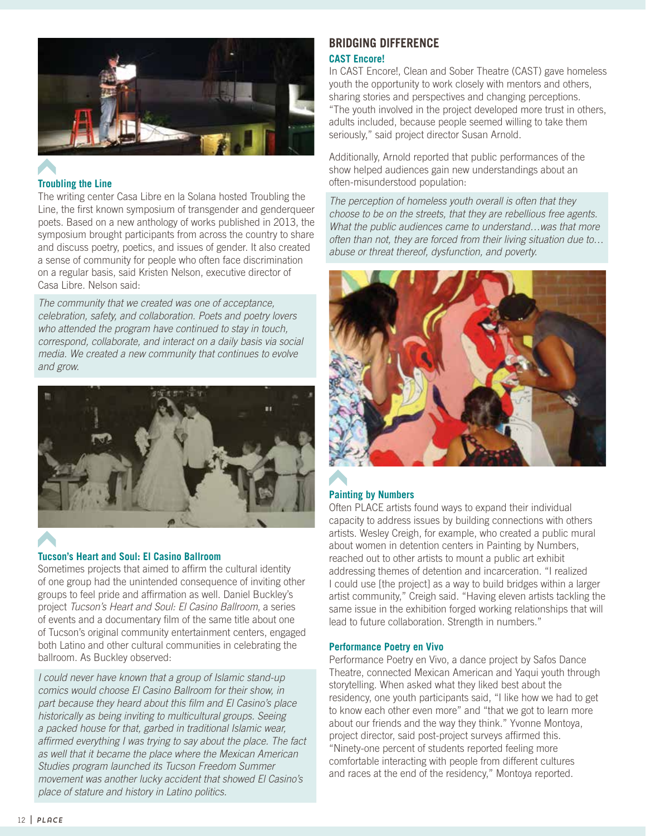

# **Troubling the Line**

The writing center Casa Libre en la Solana hosted Troubling the Line, the first known symposium of transgender and genderqueer poets. Based on a new anthology of works published in 2013, the symposium brought participants from across the country to share and discuss poetry, poetics, and issues of gender. It also created a sense of community for people who often face discrimination on a regular basis, said Kristen Nelson, executive director of Casa Libre. Nelson said:

The community that we created was one of acceptance, celebration, safety, and collaboration. Poets and poetry lovers who attended the program have continued to stay in touch, correspond, collaborate, and interact on a daily basis via social media. We created a new community that continues to evolve and grow.



## **Tucson's Heart and Soul: El Casino Ballroom**

Sometimes projects that aimed to affirm the cultural identity of one group had the unintended consequence of inviting other groups to feel pride and affirmation as well. Daniel Buckley's project Tucson's Heart and Soul: El Casino Ballroom, a series of events and a documentary film of the same title about one of Tucson's original community entertainment centers, engaged both Latino and other cultural communities in celebrating the ballroom. As Buckley observed:

I could never have known that a group of Islamic stand-up comics would choose El Casino Ballroom for their show, in part because they heard about this film and El Casino's place historically as being inviting to multicultural groups. Seeing a packed house for that, garbed in traditional Islamic wear, affirmed everything I was trying to say about the place. The fact as well that it became the place where the Mexican American Studies program launched its Tucson Freedom Summer movement was another lucky accident that showed El Casino's place of stature and history in Latino politics.

## **BRIDGING DIFFERENCE CAST Encore!**

In CAST Encore!, Clean and Sober Theatre (CAST) gave homeless youth the opportunity to work closely with mentors and others, sharing stories and perspectives and changing perceptions. "The youth involved in the project developed more trust in others, adults included, because people seemed willing to take them seriously," said project director Susan Arnold.

Additionally, Arnold reported that public performances of the show helped audiences gain new understandings about an often-misunderstood population:

The perception of homeless youth overall is often that they choose to be on the streets, that they are rebellious free agents. What the public audiences came to understand…was that more often than not, they are forced from their living situation due to… abuse or threat thereof, dysfunction, and poverty.



# **Painting by Numbers**

Often PLACE artists found ways to expand their individual capacity to address issues by building connections with others artists. Wesley Creigh, for example, who created a public mural about women in detention centers in Painting by Numbers, reached out to other artists to mount a public art exhibit addressing themes of detention and incarceration. "I realized I could use [the project] as a way to build bridges within a larger artist community," Creigh said. "Having eleven artists tackling the same issue in the exhibition forged working relationships that will lead to future collaboration. Strength in numbers."

#### **Performance Poetry en Vivo**

Performance Poetry en Vivo, a dance project by Safos Dance Theatre, connected Mexican American and Yaqui youth through storytelling. When asked what they liked best about the residency, one youth participants said, "I like how we had to get to know each other even more" and "that we got to learn more about our friends and the way they think." Yvonne Montoya, project director, said post-project surveys affirmed this. "Ninety-one percent of students reported feeling more comfortable interacting with people from different cultures and races at the end of the residency," Montoya reported.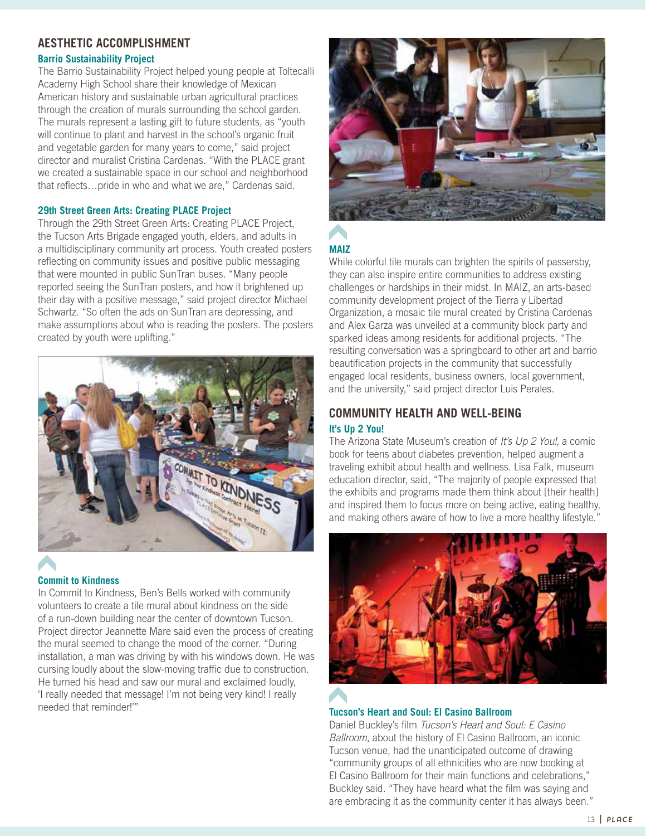# **AESTHETIC ACCOMPLISHMENT**

#### **Barrio Sustainability Project**

The Barrio Sustainability Project helped young people at Toltecalli Academy High School share their knowledge of Mexican American history and sustainable urban agricultural practices through the creation of murals surrounding the school garden. The murals represent a lasting gift to future students, as "youth will continue to plant and harvest in the school's organic fruit and vegetable garden for many years to come," said project director and muralist Cristina Cardenas. "With the PLACE grant we created a sustainable space in our school and neighborhood that reflects…pride in who and what we are," Cardenas said.

#### **29th Street Green Arts: Creating PLACE Project**

Through the 29th Street Green Arts: Creating PLACE Project, the Tucson Arts Brigade engaged youth, elders, and adults in a multidisciplinary community art process. Youth created posters reflecting on community issues and positive public messaging that were mounted in public SunTran buses. "Many people reported seeing the SunTran posters, and how it brightened up their day with a positive message," said project director Michael Schwartz. "So often the ads on SunTran are depressing, and make assumptions about who is reading the posters. The posters created by youth were uplifting."



# **Commit to Kindness**

In Commit to Kindness, Ben's Bells worked with community volunteers to create a tile mural about kindness on the side of a run-down building near the center of downtown Tucson. Project director Jeannette Mare said even the process of creating the mural seemed to change the mood of the corner. "During installation, a man was driving by with his windows down. He was cursing loudly about the slow-moving traffic due to construction. He turned his head and saw our mural and exclaimed loudly, 'I really needed that message! I'm not being very kind! I really needed that reminder!'"



# **MAIZ**

While colorful tile murals can brighten the spirits of passersby, they can also inspire entire communities to address existing challenges or hardships in their midst. In MAIZ, an arts-based community development project of the Tierra y Libertad Organization, a mosaic tile mural created by Cristina Cardenas and Alex Garza was unveiled at a community block party and sparked ideas among residents for additional projects. "The resulting conversation was a springboard to other art and barrio beautification projects in the community that successfully engaged local residents, business owners, local government, and the university," said project director Luis Perales.

## **COMMUNITY HEALTH AND WELL-BEING It's Up 2 You!**

The Arizona State Museum's creation of It's Up 2 You!, a comic book for teens about diabetes prevention, helped augment a traveling exhibit about health and wellness. Lisa Falk, museum education director, said, "The majority of people expressed that the exhibits and programs made them think about [their health] and inspired them to focus more on being active, eating healthy, and making others aware of how to live a more healthy lifestyle."



## **Tucson's Heart and Soul: El Casino Ballroom**

Daniel Buckley's film Tucson's Heart and Soul: E Casino Ballroom, about the history of El Casino Ballroom, an iconic Tucson venue, had the unanticipated outcome of drawing "community groups of all ethnicities who are now booking at El Casino Ballroom for their main functions and celebrations," Buckley said. "They have heard what the film was saying and are embracing it as the community center it has always been."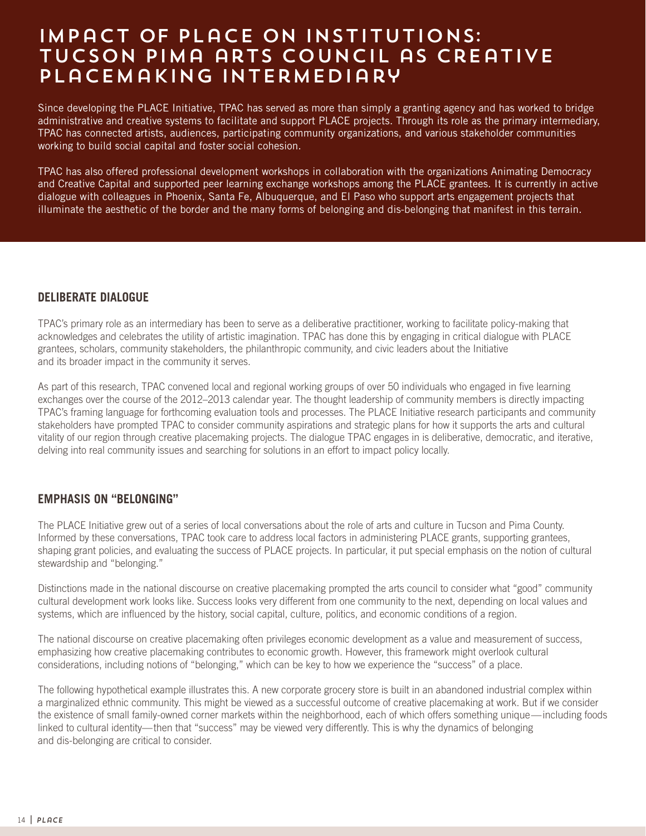# Impact of PLaCE on Institutions: Tucson Pima arts Council as Creative Placemaking Intermediary

Since developing the PLACE Initiative, TPAC has served as more than simply a granting agency and has worked to bridge administrative and creative systems to facilitate and support PLACE projects. Through its role as the primary intermediary, TPAC has connected artists, audiences, participating community organizations, and various stakeholder communities working to build social capital and foster social cohesion.

TPAC has also offered professional development workshops in collaboration with the organizations Animating Democracy and Creative Capital and supported peer learning exchange workshops among the PLACE grantees. It is currently in active dialogue with colleagues in Phoenix, Santa Fe, Albuquerque, and El Paso who support arts engagement projects that illuminate the aesthetic of the border and the many forms of belonging and dis-belonging that manifest in this terrain.

## **DELIBERATE DIALOGUE**

TPAC's primary role as an intermediary has been to serve as a deliberative practitioner, working to facilitate policy-making that acknowledges and celebrates the utility of artistic imagination. TPAC has done this by engaging in critical dialogue with PLACE grantees, scholars, community stakeholders, the philanthropic community, and civic leaders about the Initiative and its broader impact in the community it serves.

As part of this research, TPAC convened local and regional working groups of over 50 individuals who engaged in five learning exchanges over the course of the 2012–2013 calendar year. The thought leadership of community members is directly impacting TPAC's framing language for forthcoming evaluation tools and processes. The PLACE Initiative research participants and community stakeholders have prompted TPAC to consider community aspirations and strategic plans for how it supports the arts and cultural vitality of our region through creative placemaking projects. The dialogue TPAC engages in is deliberative, democratic, and iterative, delving into real community issues and searching for solutions in an effort to impact policy locally.

# **EMPHASIS ON "BELONGING"**

The PLACE Initiative grew out of a series of local conversations about the role of arts and culture in Tucson and Pima County. Informed by these conversations, TPAC took care to address local factors in administering PLACE grants, supporting grantees, shaping grant policies, and evaluating the success of PLACE projects. In particular, it put special emphasis on the notion of cultural stewardship and "belonging."

Distinctions made in the national discourse on creative placemaking prompted the arts council to consider what "good" community cultural development work looks like. Success looks very different from one community to the next, depending on local values and systems, which are influenced by the history, social capital, culture, politics, and economic conditions of a region.

The national discourse on creative placemaking often privileges economic development as a value and measurement of success, emphasizing how creative placemaking contributes to economic growth. However, this framework might overlook cultural considerations, including notions of "belonging," which can be key to how we experience the "success" of a place.

The following hypothetical example illustrates this. A new corporate grocery store is built in an abandoned industrial complex within a marginalized ethnic community. This might be viewed as a successful outcome of creative placemaking at work. But if we consider the existence of small family-owned corner markets within the neighborhood, each of which offers something unique—including foods linked to cultural identity—then that "success" may be viewed very differently. This is why the dynamics of belonging and dis-belonging are critical to consider.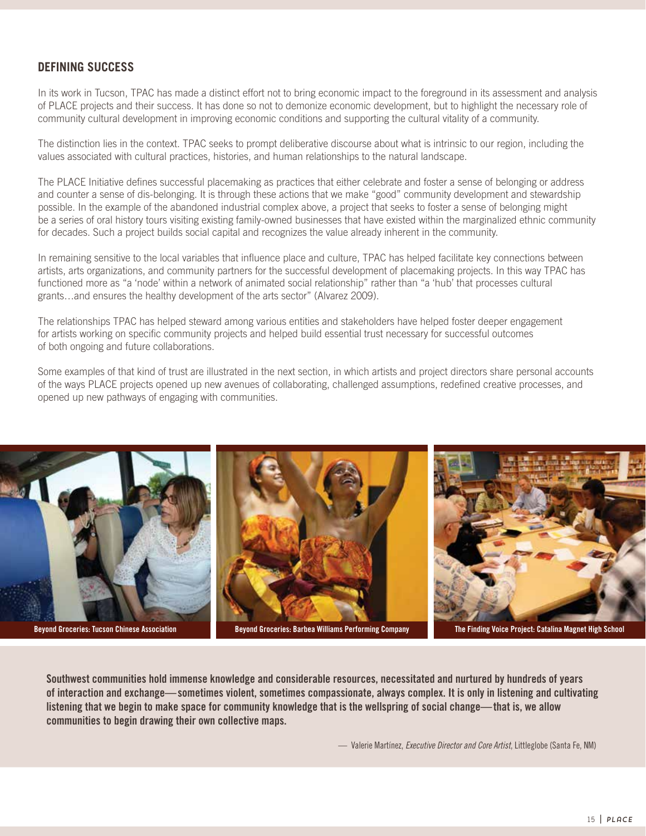# **DEFINING SUCCESS**

In its work in Tucson, TPAC has made a distinct effort not to bring economic impact to the foreground in its assessment and analysis of PLACE projects and their success. It has done so not to demonize economic development, but to highlight the necessary role of community cultural development in improving economic conditions and supporting the cultural vitality of a community.

The distinction lies in the context. TPAC seeks to prompt deliberative discourse about what is intrinsic to our region, including the values associated with cultural practices, histories, and human relationships to the natural landscape.

The PLACE Initiative defines successful placemaking as practices that either celebrate and foster a sense of belonging or address and counter a sense of dis-belonging. It is through these actions that we make "good" community development and stewardship possible. In the example of the abandoned industrial complex above, a project that seeks to foster a sense of belonging might be a series of oral history tours visiting existing family-owned businesses that have existed within the marginalized ethnic community for decades. Such a project builds social capital and recognizes the value already inherent in the community.

In remaining sensitive to the local variables that influence place and culture, TPAC has helped facilitate key connections between artists, arts organizations, and community partners for the successful development of placemaking projects. In this way TPAC has functioned more as "a 'node' within a network of animated social relationship" rather than "a 'hub' that processes cultural grants…and ensures the healthy development of the arts sector" (Alvarez 2009).

The relationships TPAC has helped steward among various entities and stakeholders have helped foster deeper engagement for artists working on specific community projects and helped build essential trust necessary for successful outcomes of both ongoing and future collaborations.

Some examples of that kind of trust are illustrated in the next section, in which artists and project directors share personal accounts of the ways PLACE projects opened up new avenues of collaborating, challenged assumptions, redefined creative processes, and opened up new pathways of engaging with communities.



**Southwest communities hold immense knowledge and considerable resources, necessitated and nurtured by hundreds of years of interaction and exchange—sometimes violent, sometimes compassionate, always complex. It is only in listening and cultivating listening that we begin to make space for community knowledge that is the wellspring of social change—that is, we allow communities to begin drawing their own collective maps.**

— Valerie Martínez, *Executive Director and Core Artist*, Littleglobe (Santa Fe, NM)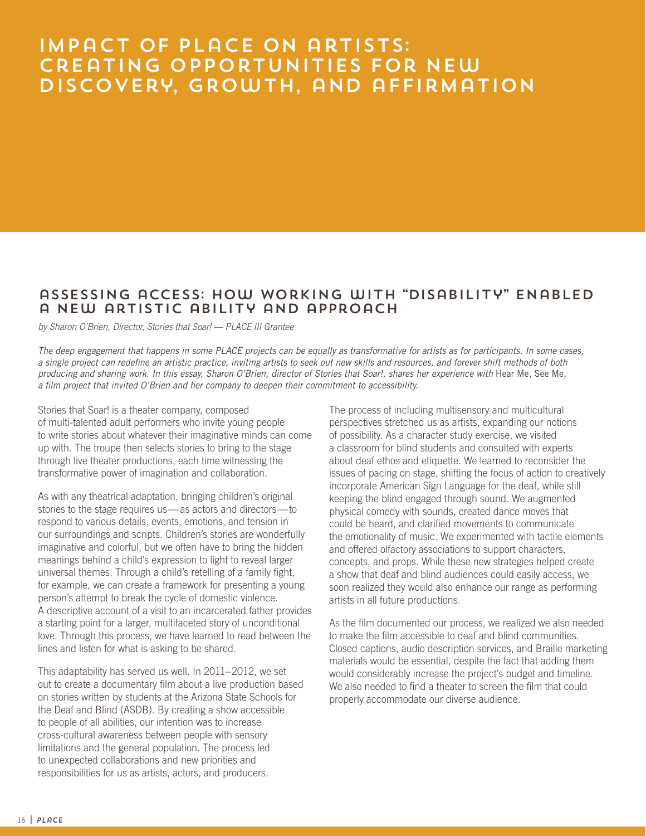# Impact of PLaCE on artists: Creating Opportunities for New Discovery, Growth, and affirmation

# assessing access: How Working with "Disability" Enabled a New artistic ability and approach

by Sharon O'Brien, Director, Stories that Soar! — PLACE III Grantee

The deep engagement that happens in some PLACE projects can be equally as transformative for artists as for participants. In some cases, a single project can redefine an artistic practice, inviting artists to seek out new skills and resources, and forever shift methods of both producing and sharing work. In this essay, Sharon O'Brien, director of Stories that Soar!, shares her experience with Hear Me, See Me, a film project that invited O'Brien and her company to deepen their commitment to accessibility.

Stories that Soar! is a theater company, composed of multi-talented adult performers who invite young people to write stories about whatever their imaginative minds can come up with. The troupe then selects stories to bring to the stage through live theater productions, each time witnessing the transformative power of imagination and collaboration.

As with any theatrical adaptation, bringing children's original stories to the stage requires us—as actors and directors—to respond to various details, events, emotions, and tension in our surroundings and scripts. Children's stories are wonderfully imaginative and colorful, but we often have to bring the hidden meanings behind a child's expression to light to reveal larger universal themes. Through a child's retelling of a family fight, for example, we can create a framework for presenting a young person's attempt to break the cycle of domestic violence. A descriptive account of a visit to an incarcerated father provides a starting point for a larger, multifaceted story of unconditional love. Through this process, we have learned to read between the lines and listen for what is asking to be shared.

This adaptability has served us well. In 2011–2012, we set out to create a documentary film about a live production based on stories written by students at the Arizona State Schools for the Deaf and Blind (ASDB). By creating a show accessible to people of all abilities, our intention was to increase cross-cultural awareness between people with sensory limitations and the general population. The process led to unexpected collaborations and new priorities and responsibilities for us as artists, actors, and producers.

The process of including multisensory and multicultural perspectives stretched us as artists, expanding our notions of possibility. As a character study exercise, we visited a classroom for blind students and consulted with experts about deaf ethos and etiquette. We learned to reconsider the issues of pacing on stage, shifting the focus of action to creatively incorporate American Sign Language for the deaf, while still keeping the blind engaged through sound. We augmented physical comedy with sounds, created dance moves that could be heard, and clarified movements to communicate the emotionality of music. We experimented with tactile elements and offered olfactory associations to support characters, concepts, and props. While these new strategies helped create a show that deaf and blind audiences could easily access, we soon realized they would also enhance our range as performing artists in all future productions.

As the film documented our process, we realized we also needed to make the film accessible to deaf and blind communities. Closed captions, audio description services, and Braille marketing materials would be essential, despite the fact that adding them would considerably increase the project's budget and timeline. We also needed to find a theater to screen the film that could properly accommodate our diverse audience.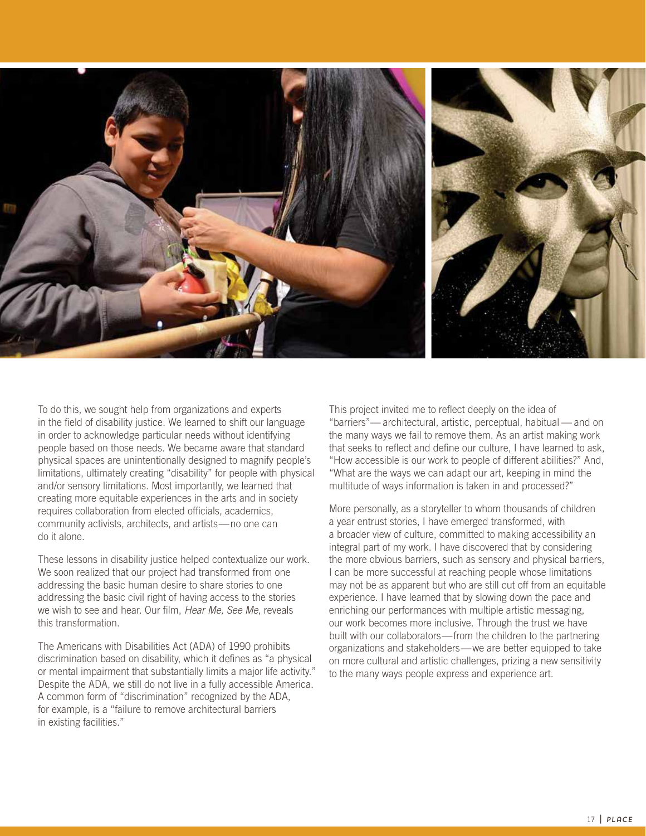

To do this, we sought help from organizations and experts in the field of disability justice. We learned to shift our language in order to acknowledge particular needs without identifying people based on those needs. We became aware that standard physical spaces are unintentionally designed to magnify people's limitations, ultimately creating "disability" for people with physical and/or sensory limitations. Most importantly, we learned that creating more equitable experiences in the arts and in society requires collaboration from elected officials, academics, community activists, architects, and artists—no one can do it alone.

These lessons in disability justice helped contextualize our work. We soon realized that our project had transformed from one addressing the basic human desire to share stories to one addressing the basic civil right of having access to the stories we wish to see and hear. Our film, Hear Me, See Me, reveals this transformation.

The Americans with Disabilities Act (ADA) of 1990 prohibits discrimination based on disability, which it defines as "a physical or mental impairment that substantially limits a major life activity." Despite the ADA, we still do not live in a fully accessible America. A common form of "discrimination" recognized by the ADA, for example, is a "failure to remove architectural barriers in existing facilities."

This project invited me to reflect deeply on the idea of "barriers"— architectural, artistic, perceptual, habitual — and on the many ways we fail to remove them. As an artist making work that seeks to reflect and define our culture, I have learned to ask, "How accessible is our work to people of different abilities?" And, "What are the ways we can adapt our art, keeping in mind the multitude of ways information is taken in and processed?"

More personally, as a storyteller to whom thousands of children a year entrust stories, I have emerged transformed, with a broader view of culture, committed to making accessibility an integral part of my work. I have discovered that by considering the more obvious barriers, such as sensory and physical barriers, I can be more successful at reaching people whose limitations may not be as apparent but who are still cut off from an equitable experience. I have learned that by slowing down the pace and enriching our performances with multiple artistic messaging, our work becomes more inclusive. Through the trust we have built with our collaborators—from the children to the partnering organizations and stakeholders—we are better equipped to take on more cultural and artistic challenges, prizing a new sensitivity to the many ways people express and experience art.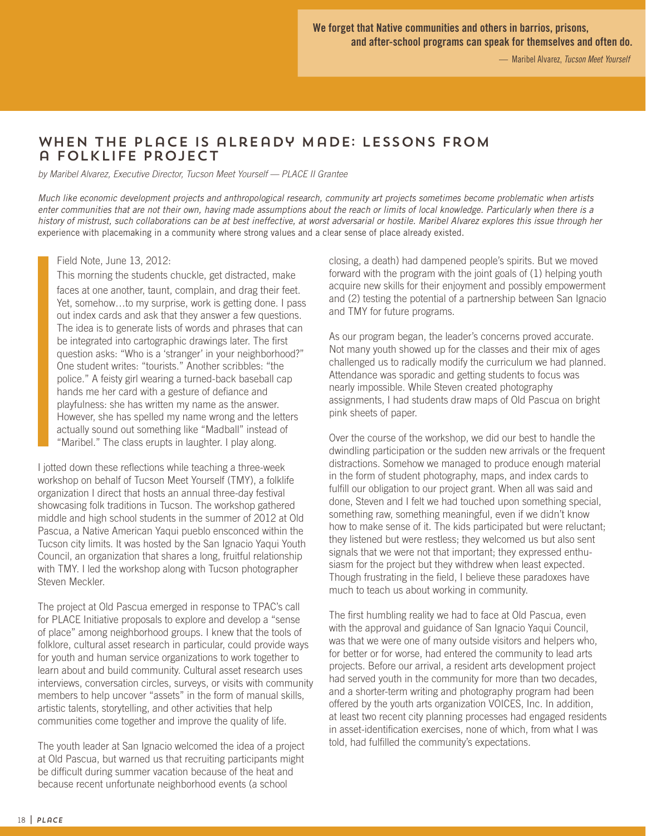# When the Place Is already Made: Lessons from a Folklife Project

by Maribel Alvarez, Executive Director, Tucson Meet Yourself — PLACE II Grantee

Much like economic development projects and anthropological research, community art projects sometimes become problematic when artists enter communities that are not their own, having made assumptions about the reach or limits of local knowledge. Particularly when there is a history of mistrust, such collaborations can be at best ineffective, at worst adversarial or hostile. Maribel Alvarez explores this issue through her experience with placemaking in a community where strong values and a clear sense of place already existed.

#### Field Note, June 13, 2012:

This morning the students chuckle, get distracted, make faces at one another, taunt, complain, and drag their feet. Yet, somehow…to my surprise, work is getting done. I pass out index cards and ask that they answer a few questions. The idea is to generate lists of words and phrases that can be integrated into cartographic drawings later. The first question asks: "Who is a 'stranger' in your neighborhood?" One student writes: "tourists." Another scribbles: "the police." A feisty girl wearing a turned-back baseball cap hands me her card with a gesture of defiance and playfulness: she has written my name as the answer. However, she has spelled my name wrong and the letters actually sound out something like "Madball" instead of "Maribel." The class erupts in laughter. I play along.

I jotted down these reflections while teaching a three-week workshop on behalf of Tucson Meet Yourself (TMY), a folklife organization I direct that hosts an annual three-day festival showcasing folk traditions in Tucson. The workshop gathered middle and high school students in the summer of 2012 at Old Pascua, a Native American Yaqui pueblo ensconced within the Tucson city limits. It was hosted by the San Ignacio Yaqui Youth Council, an organization that shares a long, fruitful relationship with TMY. I led the workshop along with Tucson photographer Steven Meckler.

The project at Old Pascua emerged in response to TPAC's call for PLACE Initiative proposals to explore and develop a "sense of place" among neighborhood groups. I knew that the tools of folklore, cultural asset research in particular, could provide ways for youth and human service organizations to work together to learn about and build community. Cultural asset research uses interviews, conversation circles, surveys, or visits with community members to help uncover "assets" in the form of manual skills, artistic talents, storytelling, and other activities that help communities come together and improve the quality of life.

The youth leader at San Ignacio welcomed the idea of a project at Old Pascua, but warned us that recruiting participants might be difficult during summer vacation because of the heat and because recent unfortunate neighborhood events (a school

closing, a death) had dampened people's spirits. But we moved forward with the program with the joint goals of (1) helping youth acquire new skills for their enjoyment and possibly empowerment and (2) testing the potential of a partnership between San Ignacio and TMY for future programs.

As our program began, the leader's concerns proved accurate. Not many youth showed up for the classes and their mix of ages challenged us to radically modify the curriculum we had planned. Attendance was sporadic and getting students to focus was nearly impossible. While Steven created photography assignments, I had students draw maps of Old Pascua on bright pink sheets of paper.

Over the course of the workshop, we did our best to handle the dwindling participation or the sudden new arrivals or the frequent distractions. Somehow we managed to produce enough material in the form of student photography, maps, and index cards to fulfill our obligation to our project grant. When all was said and done, Steven and I felt we had touched upon something special, something raw, something meaningful, even if we didn't know how to make sense of it. The kids participated but were reluctant; they listened but were restless; they welcomed us but also sent signals that we were not that important; they expressed enthusiasm for the project but they withdrew when least expected. Though frustrating in the field, I believe these paradoxes have much to teach us about working in community.

The first humbling reality we had to face at Old Pascua, even with the approval and guidance of San Ignacio Yaqui Council, was that we were one of many outside visitors and helpers who, for better or for worse, had entered the community to lead arts projects. Before our arrival, a resident arts development project had served youth in the community for more than two decades, and a shorter-term writing and photography program had been offered by the youth arts organization VOICES, Inc. In addition, at least two recent city planning processes had engaged residents in asset-identification exercises, none of which, from what I was told, had fulfilled the community's expectations.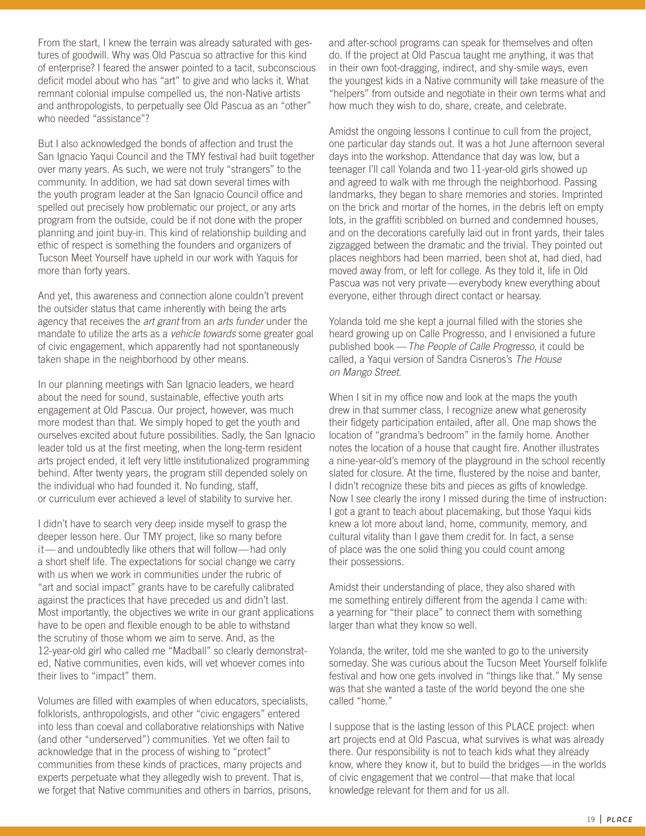From the start, I knew the terrain was already saturated with gestures of goodwill. Why was Old Pascua so attractive for this kind of enterprise? I feared the answer pointed to a tacit, subconscious deficit model about who has "art" to give and who lacks it. What remnant colonial impulse compelled us, the non-Native artists and anthropologists, to perpetually see Old Pascua as an "other" who needed "assistance"?

But I also acknowledged the bonds of affection and trust the San Ignacio Yaqui Council and the TMY festival had built together over many years. As such, we were not truly "strangers" to the community. In addition, we had sat down several times with the youth program leader at the San Ignacio Council office and spelled out precisely how problematic our project, or any arts program from the outside, could be if not done with the proper planning and joint buy-in. This kind of relationship building and ethic of respect is something the founders and organizers of Tucson Meet Yourself have upheld in our work with Yaquis for more than forty years.

And yet, this awareness and connection alone couldn't prevent the outsider status that came inherently with being the arts agency that receives the art grant from an arts funder under the mandate to utilize the arts as a vehicle towards some greater goal of civic engagement, which apparently had not spontaneously taken shape in the neighborhood by other means.

In our planning meetings with San Ignacio leaders, we heard about the need for sound, sustainable, effective youth arts engagement at Old Pascua. Our project, however, was much more modest than that. We simply hoped to get the youth and ourselves excited about future possibilities. Sadly, the San Ignacio leader told us at the first meeting, when the long-term resident arts project ended, it left very little institutionalized programming behind. After twenty years, the program still depended solely on the individual who had founded it. No funding, staff, or curriculum ever achieved a level of stability to survive her.

I didn't have to search very deep inside myself to grasp the deeper lesson here. Our TMY project, like so many before it— and undoubtedly like others that will follow—had only a short shelf life. The expectations for social change we carry with us when we work in communities under the rubric of "art and social impact" grants have to be carefully calibrated against the practices that have preceded us and didn't last. Most importantly, the objectives we write in our grant applications have to be open and flexible enough to be able to withstand the scrutiny of those whom we aim to serve. And, as the 12-year-old girl who called me "Madball" so clearly demonstrated, Native communities, even kids, will vet whoever comes into their lives to "impact" them.

Volumes are filled with examples of when educators, specialists, folklorists, anthropologists, and other "civic engagers" entered into less than coeval and collaborative relationships with Native (and other "underserved") communities. Yet we often fail to acknowledge that in the process of wishing to "protect" communities from these kinds of practices, many projects and experts perpetuate what they allegedly wish to prevent. That is, we forget that Native communities and others in barrios, prisons, and after-school programs can speak for themselves and often do. If the project at Old Pascua taught me anything, it was that in their own foot-dragging, indirect, and shy-smile ways, even the youngest kids in a Native community will take measure of the "helpers" from outside and negotiate in their own terms what and how much they wish to do, share, create, and celebrate.

Amidst the ongoing lessons I continue to cull from the project, one particular day stands out. It was a hot June afternoon several days into the workshop. Attendance that day was low, but a teenager I'll call Yolanda and two 11-year-old girls showed up and agreed to walk with me through the neighborhood. Passing landmarks, they began to share memories and stories. Imprinted on the brick and mortar of the homes, in the debris left on empty lots, in the graffiti scribbled on burned and condemned houses, and on the decorations carefully laid out in front yards, their tales zigzagged between the dramatic and the trivial. They pointed out places neighbors had been married, been shot at, had died, had moved away from, or left for college. As they told it, life in Old Pascua was not very private—everybody knew everything about everyone, either through direct contact or hearsay.

Yolanda told me she kept a journal filled with the stories she heard growing up on Calle Progresso, and I envisioned a future published book - The People of Calle Progresso, it could be called, a Yaqui version of Sandra Cisneros's The House on Mango Street.

When I sit in my office now and look at the maps the youth drew in that summer class, I recognize anew what generosity their fidgety participation entailed, after all. One map shows the location of "grandma's bedroom" in the family home. Another notes the location of a house that caught fire. Another illustrates a nine-year-old's memory of the playground in the school recently slated for closure. At the time, flustered by the noise and banter, I didn't recognize these bits and pieces as gifts of knowledge. Now I see clearly the irony I missed during the time of instruction: I got a grant to teach about placemaking, but those Yaqui kids knew a lot more about land, home, community, memory, and cultural vitality than I gave them credit for. In fact, a sense of place was the one solid thing you could count among their possessions.

Amidst their understanding of place, they also shared with me something entirely different from the agenda I came with: a yearning for "their place" to connect them with something larger than what they know so well.

Yolanda, the writer, told me she wanted to go to the university someday. She was curious about the Tucson Meet Yourself folklife festival and how one gets involved in "things like that." My sense was that she wanted a taste of the world beyond the one she called "home."

I suppose that is the lasting lesson of this PLACE project: when art projects end at Old Pascua, what survives is what was already there. Our responsibility is not to teach kids what they already know, where they know it, but to build the bridges—in the worlds of civic engagement that we control—that make that local knowledge relevant for them and for us all.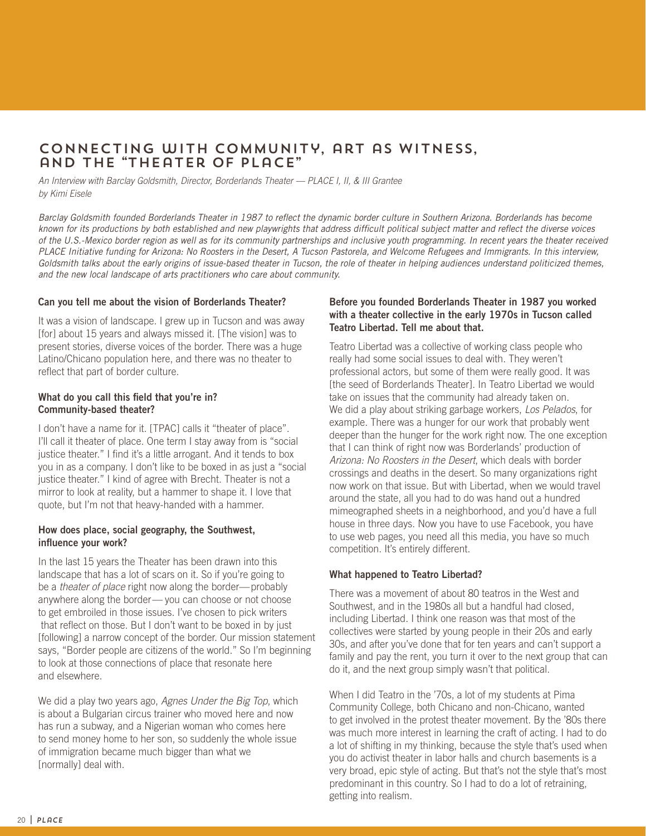# Connecting with Community, art as Witness, and the "Theater of Place"

An Interview with Barclay Goldsmith, Director, Borderlands Theater — PLACE I, II, & III Grantee by Kimi Eisele

Barclay Goldsmith founded Borderlands Theater in 1987 to reflect the dynamic border culture in Southern Arizona. Borderlands has become known for its productions by both established and new playwrights that address difficult political subject matter and reflect the diverse voices of the U.S.-Mexico border region as well as for its community partnerships and inclusive youth programming. In recent years the theater received PLACE Initiative funding for Arizona: No Roosters in the Desert, A Tucson Pastorela, and Welcome Refugees and Immigrants. In this interview, Goldsmith talks about the early origins of issue-based theater in Tucson, the role of theater in helping audiences understand politicized themes, and the new local landscape of arts practitioners who care about community.

#### **Can you tell me about the vision of Borderlands Theater?**

It was a vision of landscape. I grew up in Tucson and was away [for] about 15 years and always missed it. [The vision] was to present stories, diverse voices of the border. There was a huge Latino/Chicano population here, and there was no theater to reflect that part of border culture.

#### **What do you call this field that you're in? Community-based theater?**

I don't have a name for it. [TPAC] calls it "theater of place". I'll call it theater of place. One term I stay away from is "social justice theater." I find it's a little arrogant. And it tends to box you in as a company. I don't like to be boxed in as just a "social justice theater." I kind of agree with Brecht. Theater is not a mirror to look at reality, but a hammer to shape it. I love that quote, but I'm not that heavy-handed with a hammer.

#### **How does place, social geography, the Southwest, influence your work?**

In the last 15 years the Theater has been drawn into this landscape that has a lot of scars on it. So if you're going to be a theater of place right now along the border—probably anywhere along the border— you can choose or not choose to get embroiled in those issues. I've chosen to pick writers that reflect on those. But I don't want to be boxed in by just [following] a narrow concept of the border. Our mission statement says, "Border people are citizens of the world." So I'm beginning to look at those connections of place that resonate here and elsewhere.

We did a play two years ago, Agnes Under the Big Top, which is about a Bulgarian circus trainer who moved here and now has run a subway, and a Nigerian woman who comes here to send money home to her son, so suddenly the whole issue of immigration became much bigger than what we [normally] deal with.

#### **Before you founded Borderlands Theater in 1987 you worked with a theater collective in the early 1970s in Tucson called Teatro Libertad. Tell me about that.**

Teatro Libertad was a collective of working class people who really had some social issues to deal with. They weren't professional actors, but some of them were really good. It was [the seed of Borderlands Theater]. In Teatro Libertad we would take on issues that the community had already taken on. We did a play about striking garbage workers, Los Pelados, for example. There was a hunger for our work that probably went deeper than the hunger for the work right now. The one exception that I can think of right now was Borderlands' production of Arizona: No Roosters in the Desert, which deals with border crossings and deaths in the desert. So many organizations right now work on that issue. But with Libertad, when we would travel around the state, all you had to do was hand out a hundred mimeographed sheets in a neighborhood, and you'd have a full house in three days. Now you have to use Facebook, you have to use web pages, you need all this media, you have so much competition. It's entirely different.

## **What happened to Teatro Libertad?**

There was a movement of about 80 teatros in the West and Southwest, and in the 1980s all but a handful had closed, including Libertad. I think one reason was that most of the collectives were started by young people in their 20s and early 30s, and after you've done that for ten years and can't support a family and pay the rent, you turn it over to the next group that can do it, and the next group simply wasn't that political.

When I did Teatro in the '70s, a lot of my students at Pima Community College, both Chicano and non-Chicano, wanted to get involved in the protest theater movement. By the '80s there was much more interest in learning the craft of acting. I had to do a lot of shifting in my thinking, because the style that's used when you do activist theater in labor halls and church basements is a very broad, epic style of acting. But that's not the style that's most predominant in this country. So I had to do a lot of retraining, getting into realism.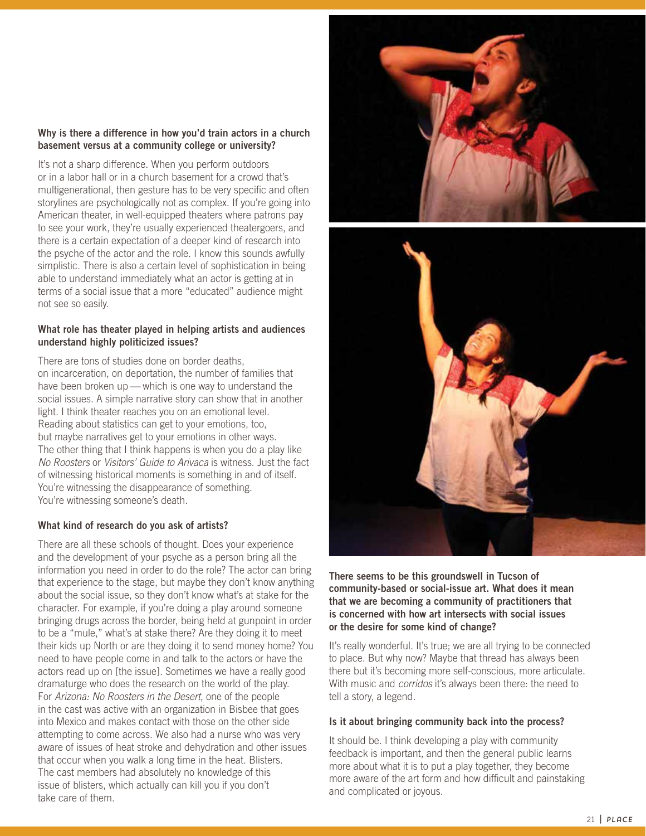#### **Why is there a difference in how you'd train actors in a church basement versus at a community college or university?**

It's not a sharp difference. When you perform outdoors or in a labor hall or in a church basement for a crowd that's multigenerational, then gesture has to be very specific and often storylines are psychologically not as complex. If you're going into American theater, in well-equipped theaters where patrons pay to see your work, they're usually experienced theatergoers, and there is a certain expectation of a deeper kind of research into the psyche of the actor and the role. I know this sounds awfully simplistic. There is also a certain level of sophistication in being able to understand immediately what an actor is getting at in terms of a social issue that a more "educated" audience might not see so easily.

#### **What role has theater played in helping artists and audiences understand highly politicized issues?**

There are tons of studies done on border deaths, on incarceration, on deportation, the number of families that have been broken up — which is one way to understand the social issues. A simple narrative story can show that in another light. I think theater reaches you on an emotional level. Reading about statistics can get to your emotions, too, but maybe narratives get to your emotions in other ways. The other thing that I think happens is when you do a play like No Roosters or Visitors' Guide to Arivaca is witness. Just the fact of witnessing historical moments is something in and of itself. You're witnessing the disappearance of something. You're witnessing someone's death.

## **What kind of research do you ask of artists?**

There are all these schools of thought. Does your experience and the development of your psyche as a person bring all the information you need in order to do the role? The actor can bring that experience to the stage, but maybe they don't know anything about the social issue, so they don't know what's at stake for the character. For example, if you're doing a play around someone bringing drugs across the border, being held at gunpoint in order to be a "mule," what's at stake there? Are they doing it to meet their kids up North or are they doing it to send money home? You need to have people come in and talk to the actors or have the actors read up on [the issue]. Sometimes we have a really good dramaturge who does the research on the world of the play. For Arizona: No Roosters in the Desert, one of the people in the cast was active with an organization in Bisbee that goes into Mexico and makes contact with those on the other side attempting to come across. We also had a nurse who was very aware of issues of heat stroke and dehydration and other issues that occur when you walk a long time in the heat. Blisters. The cast members had absolutely no knowledge of this issue of blisters, which actually can kill you if you don't take care of them.





**There seems to be this groundswell in Tucson of community-based or social-issue art. What does it mean that we are becoming a community of practitioners that is concerned with how art intersects with social issues or the desire for some kind of change?**

It's really wonderful. It's true; we are all trying to be connected to place. But why now? Maybe that thread has always been there but it's becoming more self-conscious, more articulate. With music and *corridos* it's always been there: the need to tell a story, a legend.

#### **Is it about bringing community back into the process?**

It should be. I think developing a play with community feedback is important, and then the general public learns more about what it is to put a play together, they become more aware of the art form and how difficult and painstaking and complicated or joyous.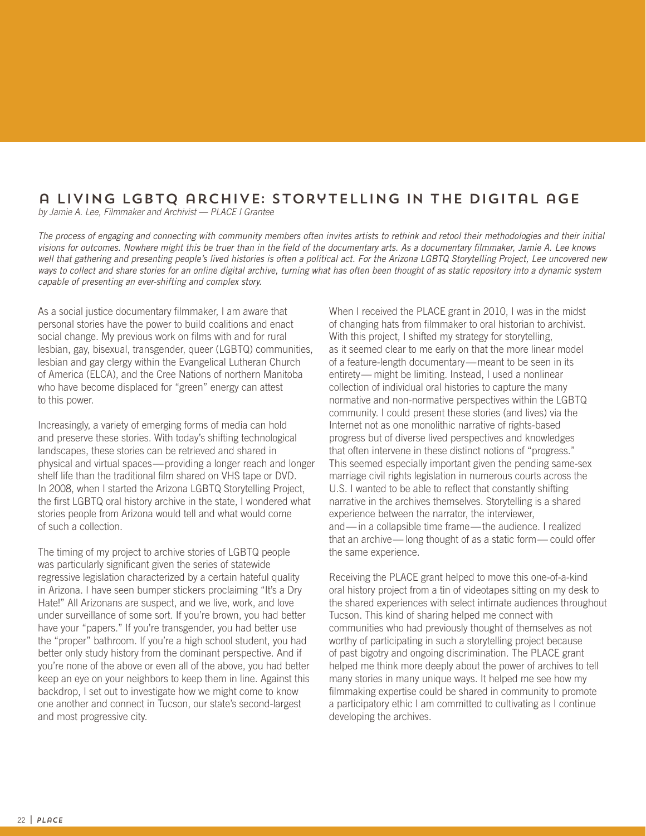# a Living LGBTQ archive: Storytelling in the Digital age

by Jamie A. Lee, Filmmaker and Archivist — PLACE I Grantee

The process of engaging and connecting with community members often invites artists to rethink and retool their methodologies and their initial visions for outcomes. Nowhere might this be truer than in the field of the documentary arts. As a documentary filmmaker, Jamie A. Lee knows well that gathering and presenting people's lived histories is often a political act. For the Arizona LGBTQ Storytelling Project, Lee uncovered new ways to collect and share stories for an online digital archive, turning what has often been thought of as static repository into a dynamic system capable of presenting an ever-shifting and complex story.

As a social justice documentary filmmaker, I am aware that personal stories have the power to build coalitions and enact social change. My previous work on films with and for rural lesbian, gay, bisexual, transgender, queer (LGBTQ) communities, lesbian and gay clergy within the Evangelical Lutheran Church of America (ELCA), and the Cree Nations of northern Manitoba who have become displaced for "green" energy can attest to this power.

Increasingly, a variety of emerging forms of media can hold and preserve these stories. With today's shifting technological landscapes, these stories can be retrieved and shared in physical and virtual spaces—providing a longer reach and longer shelf life than the traditional film shared on VHS tape or DVD. In 2008, when I started the Arizona LGBTQ Storytelling Project, the first LGBTQ oral history archive in the state, I wondered what stories people from Arizona would tell and what would come of such a collection.

The timing of my project to archive stories of LGBTQ people was particularly significant given the series of statewide regressive legislation characterized by a certain hateful quality in Arizona. I have seen bumper stickers proclaiming "It's a Dry Hate!" All Arizonans are suspect, and we live, work, and love under surveillance of some sort. If you're brown, you had better have your "papers." If you're transgender, you had better use the "proper" bathroom. If you're a high school student, you had better only study history from the dominant perspective. And if you're none of the above or even all of the above, you had better keep an eye on your neighbors to keep them in line. Against this backdrop, I set out to investigate how we might come to know one another and connect in Tucson, our state's second-largest and most progressive city.

When I received the PLACE grant in 2010, I was in the midst of changing hats from filmmaker to oral historian to archivist. With this project, I shifted my strategy for storytelling, as it seemed clear to me early on that the more linear model of a feature-length documentary—meant to be seen in its entirety— might be limiting. Instead, I used a nonlinear collection of individual oral histories to capture the many normative and non-normative perspectives within the LGBTQ community. I could present these stories (and lives) via the Internet not as one monolithic narrative of rights-based progress but of diverse lived perspectives and knowledges that often intervene in these distinct notions of "progress." This seemed especially important given the pending same-sex marriage civil rights legislation in numerous courts across the U.S. I wanted to be able to reflect that constantly shifting narrative in the archives themselves. Storytelling is a shared experience between the narrator, the interviewer, and—in a collapsible time frame—the audience. I realized that an archive— long thought of as a static form— could offer the same experience.

Receiving the PLACE grant helped to move this one-of-a-kind oral history project from a tin of videotapes sitting on my desk to the shared experiences with select intimate audiences throughout Tucson. This kind of sharing helped me connect with communities who had previously thought of themselves as not worthy of participating in such a storytelling project because of past bigotry and ongoing discrimination. The PLACE grant helped me think more deeply about the power of archives to tell many stories in many unique ways. It helped me see how my filmmaking expertise could be shared in community to promote a participatory ethic I am committed to cultivating as I continue developing the archives.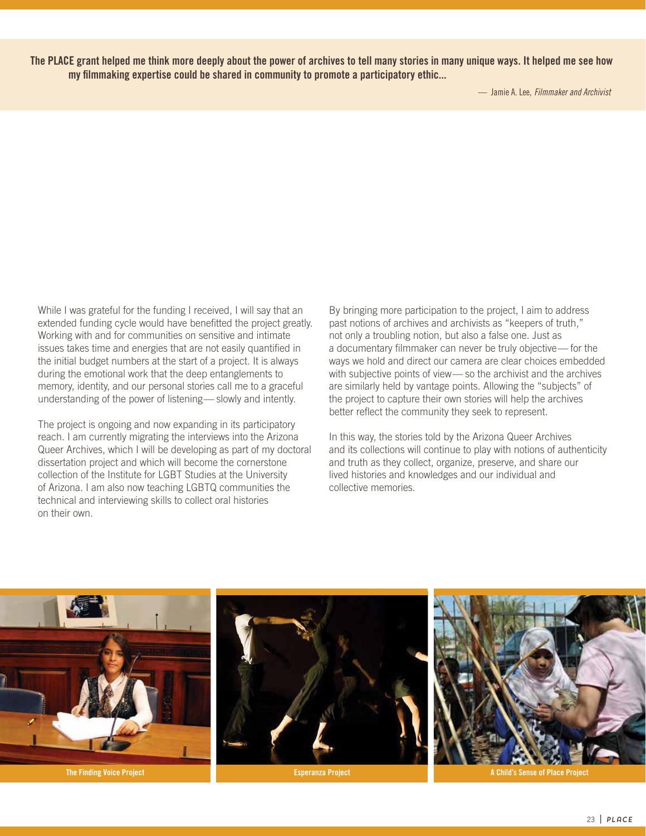**The PLACE grant helped me think more deeply about the power of archives to tell many stories in many unique ways. It helped me see how my filmmaking expertise could be shared in community to promote a participatory ethic...**

While I was grateful for the funding I received, I will say that an extended funding cycle would have benefitted the project greatly. Working with and for communities on sensitive and intimate issues takes time and energies that are not easily quantified in the initial budget numbers at the start of a project. It is always during the emotional work that the deep entanglements to memory, identity, and our personal stories call me to a graceful understanding of the power of listening— slowly and intently.

The project is ongoing and now expanding in its participatory reach. I am currently migrating the interviews into the Arizona Queer Archives, which I will be developing as part of my doctoral dissertation project and which will become the cornerstone collection of the Institute for LGBT Studies at the University of Arizona. I am also now teaching LGBTQ communities the technical and interviewing skills to collect oral histories on their own.

By bringing more participation to the project, I aim to address past notions of archives and archivists as "keepers of truth," not only a troubling notion, but also a false one. Just as a documentary filmmaker can never be truly objective— for the ways we hold and direct our camera are clear choices embedded with subjective points of view— so the archivist and the archives are similarly held by vantage points. Allowing the "subjects" of the project to capture their own stories will help the archives better reflect the community they seek to represent.

In this way, the stories told by the Arizona Queer Archives and its collections will continue to play with notions of authenticity and truth as they collect, organize, preserve, and share our lived histories and knowledges and our individual and collective memories.

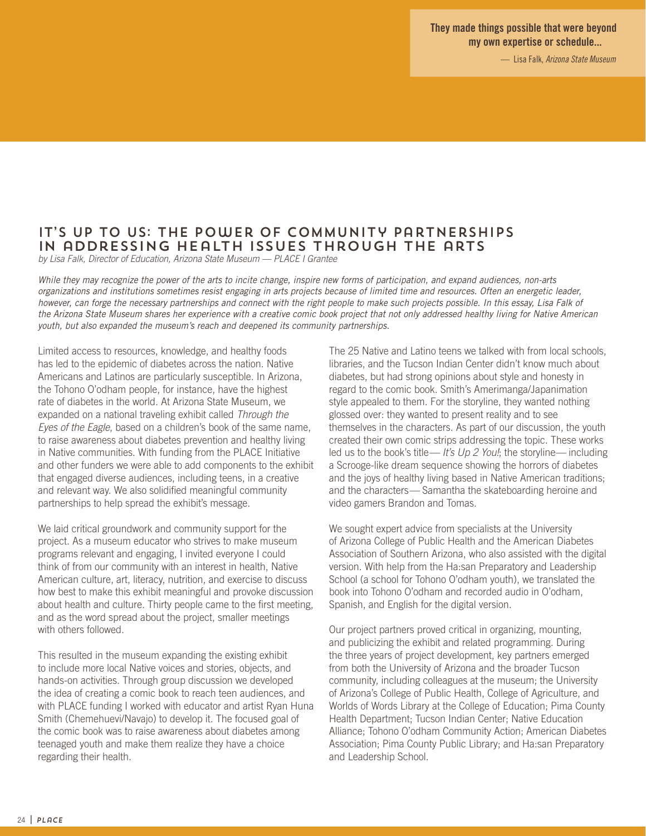**They made things possible that were beyond my own expertise or schedule...**

— Lisa Falk, Arizona State Museum

# IT'S UP TO US: THE POWER OF COMMUNITY PARTNERSHIPS in addressing Health Issues through the arts

by Lisa Falk, Director of Education, Arizona State Museum — PLACE I Grantee

While they may recognize the power of the arts to incite change, inspire new forms of participation, and expand audiences, non-arts organizations and institutions sometimes resist engaging in arts projects because of limited time and resources. Often an energetic leader, however, can forge the necessary partnerships and connect with the right people to make such projects possible. In this essay, Lisa Falk of the Arizona State Museum shares her experience with a creative comic book project that not only addressed healthy living for Native American youth, but also expanded the museum's reach and deepened its community partnerships.

Limited access to resources, knowledge, and healthy foods has led to the epidemic of diabetes across the nation. Native Americans and Latinos are particularly susceptible. In Arizona, the Tohono O'odham people, for instance, have the highest rate of diabetes in the world. At Arizona State Museum, we expanded on a national traveling exhibit called Through the Eyes of the Eagle, based on a children's book of the same name, to raise awareness about diabetes prevention and healthy living in Native communities. With funding from the PLACE Initiative and other funders we were able to add components to the exhibit that engaged diverse audiences, including teens, in a creative and relevant way. We also solidified meaningful community partnerships to help spread the exhibit's message.

We laid critical groundwork and community support for the project. As a museum educator who strives to make museum programs relevant and engaging, I invited everyone I could think of from our community with an interest in health, Native American culture, art, literacy, nutrition, and exercise to discuss how best to make this exhibit meaningful and provoke discussion about health and culture. Thirty people came to the first meeting, and as the word spread about the project, smaller meetings with others followed.

This resulted in the museum expanding the existing exhibit to include more local Native voices and stories, objects, and hands-on activities. Through group discussion we developed the idea of creating a comic book to reach teen audiences, and with PLACE funding I worked with educator and artist Ryan Huna Smith (Chemehuevi/Navajo) to develop it. The focused goal of the comic book was to raise awareness about diabetes among teenaged youth and make them realize they have a choice regarding their health.

The 25 Native and Latino teens we talked with from local schools, libraries, and the Tucson Indian Center didn't know much about diabetes, but had strong opinions about style and honesty in regard to the comic book. Smith's Amerimanga/Japanimation style appealed to them. For the storyline, they wanted nothing glossed over: they wanted to present reality and to see themselves in the characters. As part of our discussion, the youth created their own comic strips addressing the topic. These works led us to the book's title— It's  $Up 2$  You!; the storyline— including a Scrooge-like dream sequence showing the horrors of diabetes and the joys of healthy living based in Native American traditions; and the characters— Samantha the skateboarding heroine and video gamers Brandon and Tomas.

We sought expert advice from specialists at the University of Arizona College of Public Health and the American Diabetes Association of Southern Arizona, who also assisted with the digital version. With help from the Ha:san Preparatory and Leadership School (a school for Tohono O'odham youth), we translated the book into Tohono O'odham and recorded audio in O'odham, Spanish, and English for the digital version.

Our project partners proved critical in organizing, mounting, and publicizing the exhibit and related programming. During the three years of project development, key partners emerged from both the University of Arizona and the broader Tucson community, including colleagues at the museum; the University of Arizona's College of Public Health, College of Agriculture, and Worlds of Words Library at the College of Education; Pima County Health Department; Tucson Indian Center; Native Education Alliance; Tohono O'odham Community Action; American Diabetes Association; Pima County Public Library; and Ha:san Preparatory and Leadership School.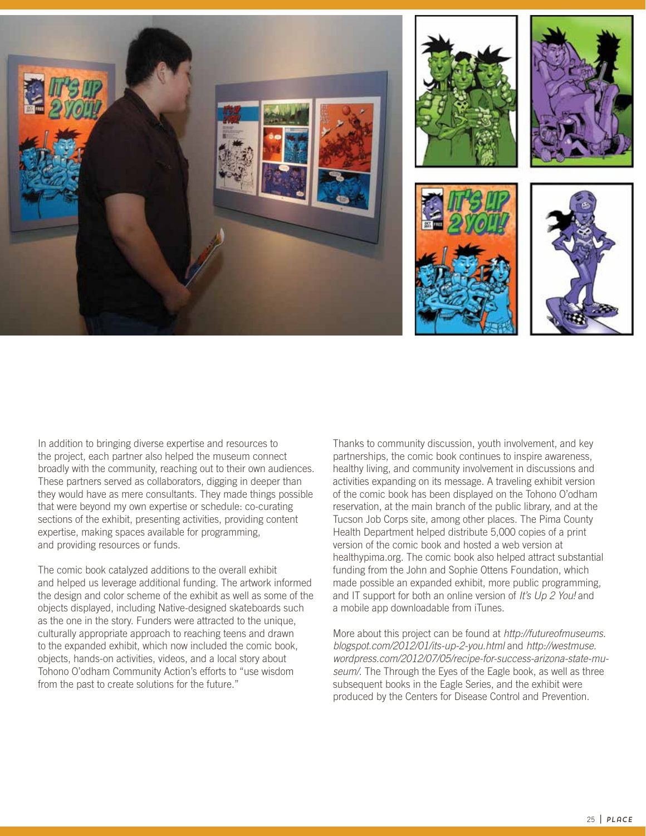

In addition to bringing diverse expertise and resources to the project, each partner also helped the museum connect broadly with the community, reaching out to their own audiences. These partners served as collaborators, digging in deeper than they would have as mere consultants. They made things possible that were beyond my own expertise or schedule: co-curating sections of the exhibit, presenting activities, providing content expertise, making spaces available for programming, and providing resources or funds.

The comic book catalyzed additions to the overall exhibit and helped us leverage additional funding. The artwork informed the design and color scheme of the exhibit as well as some of the objects displayed, including Native-designed skateboards such as the one in the story. Funders were attracted to the unique, culturally appropriate approach to reaching teens and drawn to the expanded exhibit, which now included the comic book, objects, hands-on activities, videos, and a local story about Tohono O'odham Community Action's efforts to "use wisdom from the past to create solutions for the future."

Thanks to community discussion, youth involvement, and key partnerships, the comic book continues to inspire awareness, healthy living, and community involvement in discussions and activities expanding on its message. A traveling exhibit version of the comic book has been displayed on the Tohono O'odham reservation, at the main branch of the public library, and at the Tucson Job Corps site, among other places. The Pima County Health Department helped distribute 5,000 copies of a print version of the comic book and hosted a web version at healthypima.org. The comic book also helped attract substantial funding from the John and Sophie Ottens Foundation, which made possible an expanded exhibit, more public programming, and IT support for both an online version of It's Up 2 You! and a mobile app downloadable from iTunes.

More about this project can be found at http://futureofmuseums. blogspot.com/2012/01/its-up-2-you.html and http://westmuse. wordpress.com/2012/07/05/recipe-for-success-arizona-state-museum/. The Through the Eyes of the Eagle book, as well as three subsequent books in the Eagle Series, and the exhibit were produced by the Centers for Disease Control and Prevention.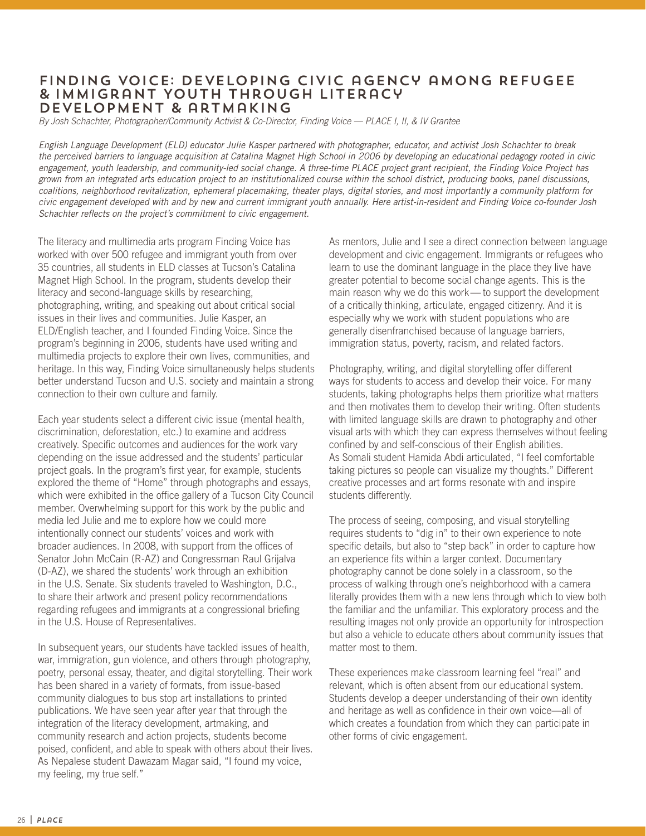# Finding Voice: Developing Civic agency among Refugee & Immigrant Youth through Literacy Development & artmaking

By Josh Schachter, Photographer/Community Activist & Co-Director, Finding Voice — PLACE I, II, & IV Grantee

English Language Development (ELD) educator Julie Kasper partnered with photographer, educator, and activist Josh Schachter to break the perceived barriers to language acquisition at Catalina Magnet High School in 2006 by developing an educational pedagogy rooted in civic engagement, youth leadership, and community-led social change. A three-time PLACE project grant recipient, the Finding Voice Project has grown from an integrated arts education project to an institutionalized course within the school district, producing books, panel discussions, coalitions, neighborhood revitalization, ephemeral placemaking, theater plays, digital stories, and most importantly a community platform for civic engagement developed with and by new and current immigrant youth annually. Here artist-in-resident and Finding Voice co-founder Josh Schachter reflects on the project's commitment to civic engagement.

The literacy and multimedia arts program Finding Voice has worked with over 500 refugee and immigrant youth from over 35 countries, all students in ELD classes at Tucson's Catalina Magnet High School. In the program, students develop their literacy and second-language skills by researching, photographing, writing, and speaking out about critical social issues in their lives and communities. Julie Kasper, an ELD/English teacher, and I founded Finding Voice. Since the program's beginning in 2006, students have used writing and multimedia projects to explore their own lives, communities, and heritage. In this way, Finding Voice simultaneously helps students better understand Tucson and U.S. society and maintain a strong connection to their own culture and family.

Each year students select a different civic issue (mental health, discrimination, deforestation, etc.) to examine and address creatively. Specific outcomes and audiences for the work vary depending on the issue addressed and the students' particular project goals. In the program's first year, for example, students explored the theme of "Home" through photographs and essays, which were exhibited in the office gallery of a Tucson City Council member. Overwhelming support for this work by the public and media led Julie and me to explore how we could more intentionally connect our students' voices and work with broader audiences. In 2008, with support from the offices of Senator John McCain (R-AZ) and Congressman Raul Grijalva (D-AZ), we shared the students' work through an exhibition in the U.S. Senate. Six students traveled to Washington, D.C., to share their artwork and present policy recommendations regarding refugees and immigrants at a congressional briefing in the U.S. House of Representatives.

In subsequent years, our students have tackled issues of health, war, immigration, gun violence, and others through photography, poetry, personal essay, theater, and digital storytelling. Their work has been shared in a variety of formats, from issue-based community dialogues to bus stop art installations to printed publications. We have seen year after year that through the integration of the literacy development, artmaking, and community research and action projects, students become poised, confident, and able to speak with others about their lives. As Nepalese student Dawazam Magar said, "I found my voice, my feeling, my true self."

As mentors, Julie and I see a direct connection between language development and civic engagement. Immigrants or refugees who learn to use the dominant language in the place they live have greater potential to become social change agents. This is the main reason why we do this work— to support the development of a critically thinking, articulate, engaged citizenry. And it is especially why we work with student populations who are generally disenfranchised because of language barriers, immigration status, poverty, racism, and related factors.

Photography, writing, and digital storytelling offer different ways for students to access and develop their voice. For many students, taking photographs helps them prioritize what matters and then motivates them to develop their writing. Often students with limited language skills are drawn to photography and other visual arts with which they can express themselves without feeling confined by and self-conscious of their English abilities. As Somali student Hamida Abdi articulated, "I feel comfortable taking pictures so people can visualize my thoughts." Different creative processes and art forms resonate with and inspire students differently.

The process of seeing, composing, and visual storytelling requires students to "dig in" to their own experience to note specific details, but also to "step back" in order to capture how an experience fits within a larger context. Documentary photography cannot be done solely in a classroom, so the process of walking through one's neighborhood with a camera literally provides them with a new lens through which to view both the familiar and the unfamiliar. This exploratory process and the resulting images not only provide an opportunity for introspection but also a vehicle to educate others about community issues that matter most to them.

These experiences make classroom learning feel "real" and relevant, which is often absent from our educational system. Students develop a deeper understanding of their own identity and heritage as well as confidence in their own voice—all of which creates a foundation from which they can participate in other forms of civic engagement.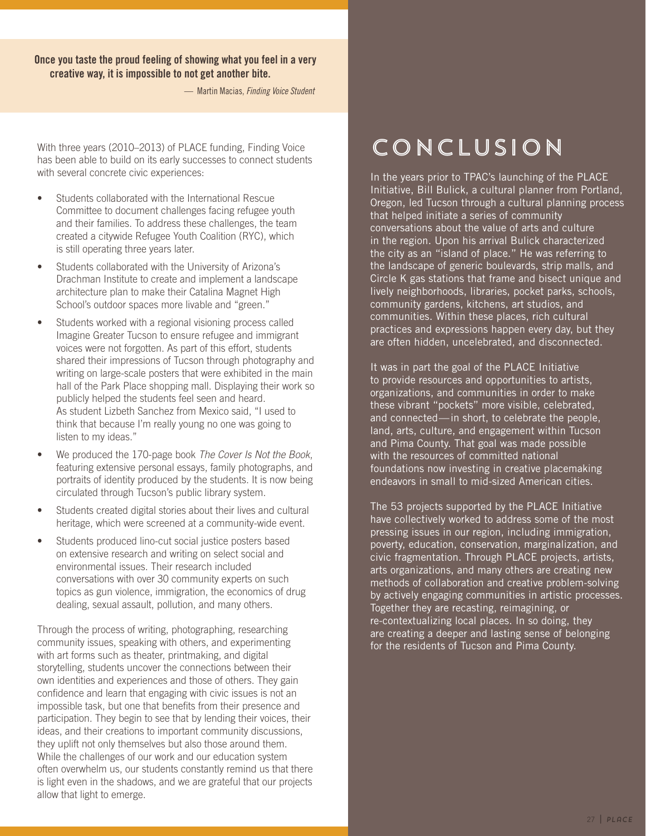## **Once you taste the proud feeling of showing what you feel in a very creative way, it is impossible to not get another bite.**

— Martin Macias, Finding Voice Student

With three years (2010–2013) of PLACE funding, Finding Voice has been able to build on its early successes to connect students with several concrete civic experiences:

- Students collaborated with the International Rescue Committee to document challenges facing refugee youth and their families. To address these challenges, the team created a citywide Refugee Youth Coalition (RYC), which is still operating three years later.
- Students collaborated with the University of Arizona's Drachman Institute to create and implement a landscape architecture plan to make their Catalina Magnet High School's outdoor spaces more livable and "green."
- Students worked with a regional visioning process called Imagine Greater Tucson to ensure refugee and immigrant voices were not forgotten. As part of this effort, students shared their impressions of Tucson through photography and writing on large-scale posters that were exhibited in the main hall of the Park Place shopping mall. Displaying their work so publicly helped the students feel seen and heard. As student Lizbeth Sanchez from Mexico said, "I used to think that because I'm really young no one was going to listen to my ideas."
- We produced the 170-page book The Cover Is Not the Book, featuring extensive personal essays, family photographs, and portraits of identity produced by the students. It is now being circulated through Tucson's public library system.
- Students created digital stories about their lives and cultural heritage, which were screened at a community-wide event.
- Students produced lino-cut social justice posters based on extensive research and writing on select social and environmental issues. Their research included conversations with over 30 community experts on such topics as gun violence, immigration, the economics of drug dealing, sexual assault, pollution, and many others.

Through the process of writing, photographing, researching community issues, speaking with others, and experimenting with art forms such as theater, printmaking, and digital storytelling, students uncover the connections between their own identities and experiences and those of others. They gain confidence and learn that engaging with civic issues is not an impossible task, but one that benefits from their presence and participation. They begin to see that by lending their voices, their ideas, and their creations to important community discussions, they uplift not only themselves but also those around them. While the challenges of our work and our education system often overwhelm us, our students constantly remind us that there is light even in the shadows, and we are grateful that our projects allow that light to emerge.

# Conclusion

In the years prior to TPAC's launching of the PLACE Initiative, Bill Bulick, a cultural planner from Portland, Oregon, led Tucson through a cultural planning process that helped initiate a series of community conversations about the value of arts and culture in the region. Upon his arrival Bulick characterized the city as an "island of place." He was referring to the landscape of generic boulevards, strip malls, and Circle K gas stations that frame and bisect unique and lively neighborhoods, libraries, pocket parks, schools, community gardens, kitchens, art studios, and communities. Within these places, rich cultural practices and expressions happen every day, but they are often hidden, uncelebrated, and disconnected.

It was in part the goal of the PLACE Initiative to provide resources and opportunities to artists, organizations, and communities in order to make these vibrant "pockets" more visible, celebrated, and connected—in short, to celebrate the people, land, arts, culture, and engagement within Tucson and Pima County. That goal was made possible with the resources of committed national foundations now investing in creative placemaking endeavors in small to mid-sized American cities.

The 53 projects supported by the PLACE Initiative have collectively worked to address some of the most pressing issues in our region, including immigration, poverty, education, conservation, marginalization, and civic fragmentation. Through PLACE projects, artists, arts organizations, and many others are creating new methods of collaboration and creative problem-solving by actively engaging communities in artistic processes. Together they are recasting, reimagining, or re-contextualizing local places. In so doing, they are creating a deeper and lasting sense of belonging for the residents of Tucson and Pima County.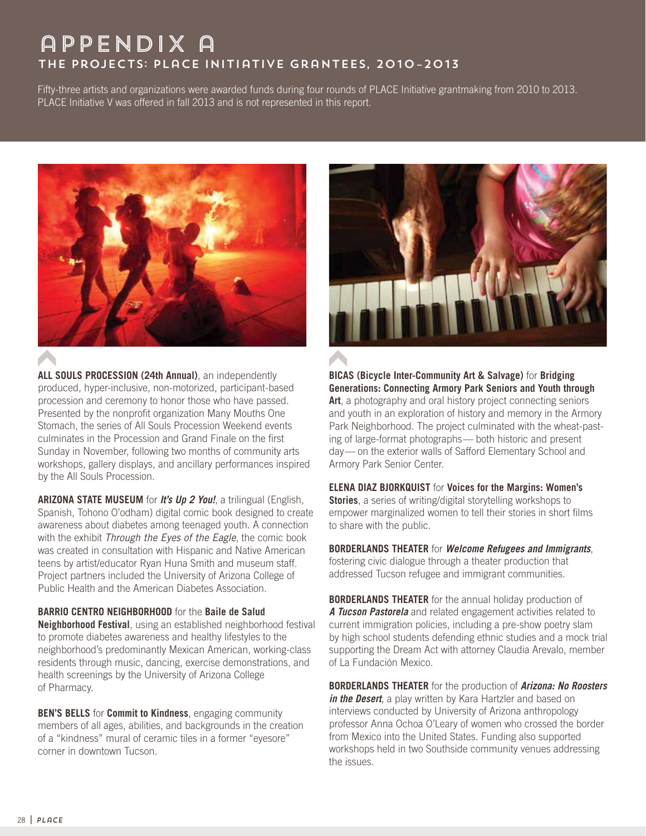# appendix a The Projects: PLaCE Initiative Grantees, 2010–2013

Fifty-three artists and organizations were awarded funds during four rounds of PLACE Initiative grantmaking from 2010 to 2013. PLACE Initiative V was offered in fall 2013 and is not represented in this report.



**ALL SOULS PROCESSION (24th Annual)**, an independently produced, hyper-inclusive, non-motorized, participant-based procession and ceremony to honor those who have passed. Presented by the nonprofit organization Many Mouths One Stomach, the series of All Souls Procession Weekend events culminates in the Procession and Grand Finale on the first Sunday in November, following two months of community arts workshops, gallery displays, and ancillary performances inspired by the All Souls Procession.

**ARIZONA STATE MUSEUM** for **It's Up 2 You!**, a trilingual (English, Spanish, Tohono O'odham) digital comic book designed to create awareness about diabetes among teenaged youth. A connection with the exhibit Through the Eyes of the Eagle, the comic book was created in consultation with Hispanic and Native American teens by artist/educator Ryan Huna Smith and museum staff. Project partners included the University of Arizona College of Public Health and the American Diabetes Association.

## **BARRIO CENTRO NEIGHBORHOOD** for the **Baile de Salud**

**Neighborhood Festival**, using an established neighborhood festival to promote diabetes awareness and healthy lifestyles to the neighborhood's predominantly Mexican American, working-class residents through music, dancing, exercise demonstrations, and health screenings by the University of Arizona College of Pharmacy.

**BEN'S BELLS** for **Commit to Kindness**, engaging community members of all ages, abilities, and backgrounds in the creation of a "kindness" mural of ceramic tiles in a former "eyesore" corner in downtown Tucson.



**BICAS (Bicycle Inter-Community Art & Salvage)** for **Bridging Generations: Connecting Armory Park Seniors and Youth through Art**, a photography and oral history project connecting seniors and youth in an exploration of history and memory in the Armory Park Neighborhood. The project culminated with the wheat-pasting of large-format photographs— both historic and present day— on the exterior walls of Safford Elementary School and Armory Park Senior Center.

**ELENA DIAZ BJORKQUIST** for **Voices for the Margins: Women's Stories**, a series of writing/digital storytelling workshops to empower marginalized women to tell their stories in short films to share with the public.

**BORDERLANDS THEATER** for **Welcome Refugees and Immigrants**, fostering civic dialogue through a theater production that addressed Tucson refugee and immigrant communities.

**BORDERLANDS THEATER** for the annual holiday production of **A Tucson Pastorela** and related engagement activities related to current immigration policies, including a pre-show poetry slam by high school students defending ethnic studies and a mock trial supporting the Dream Act with attorney Claudia Arevalo, member of La Fundación Mexico.

**BORDERLANDS THEATER** for the production of **Arizona: No Roosters**  in the Desert, a play written by Kara Hartzler and based on interviews conducted by University of Arizona anthropology professor Anna Ochoa O'Leary of women who crossed the border from Mexico into the United States. Funding also supported workshops held in two Southside community venues addressing the issues.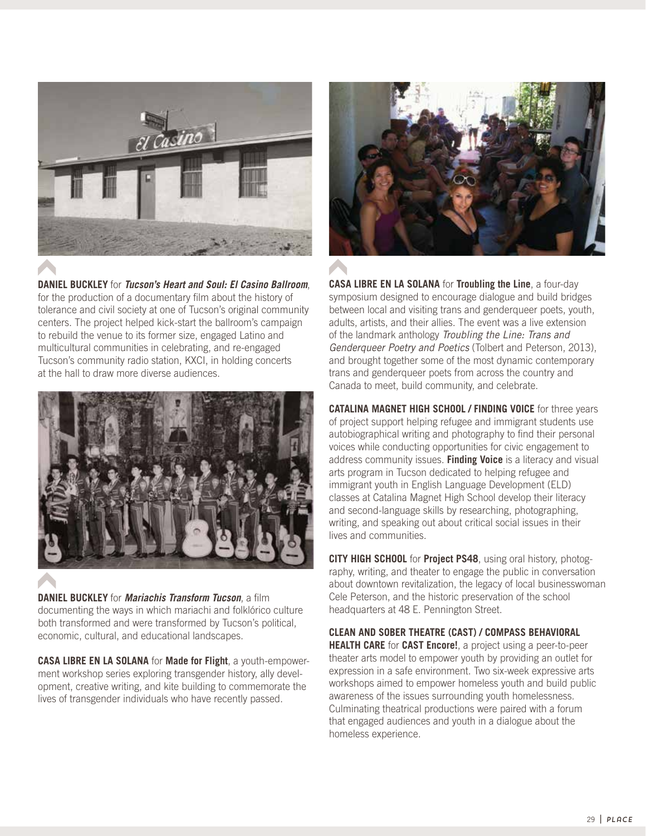

**DANIEL BUCKLEY** for **Tucson's Heart and Soul: El Casino Ballroom**, for the production of a documentary film about the history of tolerance and civil society at one of Tucson's original community centers. The project helped kick-start the ballroom's campaign to rebuild the venue to its former size, engaged Latino and multicultural communities in celebrating, and re-engaged Tucson's community radio station, KXCI, in holding concerts at the hall to draw more diverse audiences.



**DANIEL BUCKLEY** for **Mariachis Transform Tucson**, a film documenting the ways in which mariachi and folklórico culture both transformed and were transformed by Tucson's political, economic, cultural, and educational landscapes.

**CASA LIBRE EN LA SOLANA** for **Made for Flight**, a youth-empowerment workshop series exploring transgender history, ally development, creative writing, and kite building to commemorate the lives of transgender individuals who have recently passed.



**CASA LIBRE EN LA SOLANA** for **Troubling the Line**, a four-day symposium designed to encourage dialogue and build bridges between local and visiting trans and genderqueer poets, youth, adults, artists, and their allies. The event was a live extension of the landmark anthology Troubling the Line: Trans and Genderqueer Poetry and Poetics (Tolbert and Peterson, 2013), and brought together some of the most dynamic contemporary trans and genderqueer poets from across the country and Canada to meet, build community, and celebrate.

**CATALINA MAGNET HIGH SCHOOL / FINDING VOICE** for three years of project support helping refugee and immigrant students use autobiographical writing and photography to find their personal voices while conducting opportunities for civic engagement to address community issues. **Finding Voice** is a literacy and visual arts program in Tucson dedicated to helping refugee and immigrant youth in English Language Development (ELD) classes at Catalina Magnet High School develop their literacy and second-language skills by researching, photographing, writing, and speaking out about critical social issues in their lives and communities.

**CITY HIGH SCHOOL** for **Project PS48**, using oral history, photography, writing, and theater to engage the public in conversation about downtown revitalization, the legacy of local businesswoman Cele Peterson, and the historic preservation of the school headquarters at 48 E. Pennington Street.

**CLEAN AND SOBER THEATRE (CAST) / COMPASS BEHAVIORAL HEALTH CARE** for **CAST Encore!**, a project using a peer-to-peer theater arts model to empower youth by providing an outlet for expression in a safe environment. Two six-week expressive arts workshops aimed to empower homeless youth and build public awareness of the issues surrounding youth homelessness. Culminating theatrical productions were paired with a forum that engaged audiences and youth in a dialogue about the homeless experience.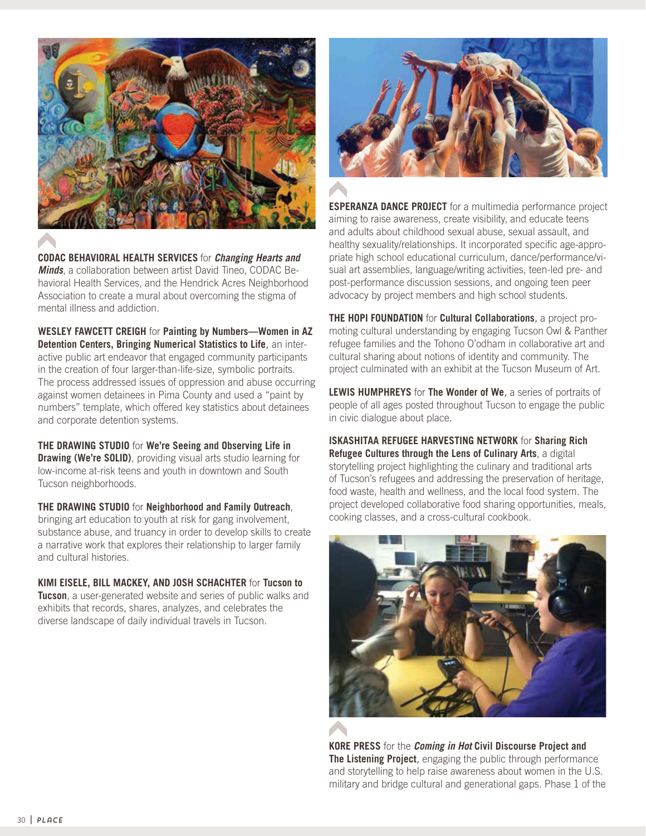

**CODAC BEHAVIORAL HEALTH SERVICES** for **Changing Hearts and Minds**, a collaboration between artist David Tineo, CODAC Behavioral Health Services, and the Hendrick Acres Neighborhood Association to create a mural about overcoming the stigma of mental illness and addiction.

**WESLEY FAWCETT CREIGH** for **Painting by Numbers—Women in AZ Detention Centers, Bringing Numerical Statistics to Life**, an interactive public art endeavor that engaged community participants in the creation of four larger-than-life-size, symbolic portraits. The process addressed issues of oppression and abuse occurring against women detainees in Pima County and used a "paint by numbers" template, which offered key statistics about detainees and corporate detention systems.

**THE DRAWING STUDIO** for **We're Seeing and Observing Life in Drawing (We're SOLID)**, providing visual arts studio learning for low-income at-risk teens and youth in downtown and South Tucson neighborhoods.

**THE DRAWING STUDIO** for **Neighborhood and Family Outreach**, bringing art education to youth at risk for gang involvement, substance abuse, and truancy in order to develop skills to create a narrative work that explores their relationship to larger family and cultural histories.

**KIMI EISELE, BILL MACKEY, AND JOSH SCHACHTER** for **Tucson to** 

**Tucson**, a user-generated website and series of public walks and exhibits that records, shares, analyzes, and celebrates the diverse landscape of daily individual travels in Tucson.



**ESPERANZA DANCE PROJECT** for a multimedia performance project aiming to raise awareness, create visibility, and educate teens and adults about childhood sexual abuse, sexual assault, and healthy sexuality/relationships. It incorporated specific age-appropriate high school educational curriculum, dance/performance/visual art assemblies, language/writing activities, teen-led pre- and post-performance discussion sessions, and ongoing teen peer advocacy by project members and high school students.

**THE HOPI FOUNDATION** for **Cultural Collaborations**, a project promoting cultural understanding by engaging Tucson Owl & Panther refugee families and the Tohono O'odham in collaborative art and cultural sharing about notions of identity and community. The project culminated with an exhibit at the Tucson Museum of Art.

**LEWIS HUMPHREYS** for **The Wonder of We**, a series of portraits of people of all ages posted throughout Tucson to engage the public in civic dialogue about place.

**ISKASHITAA REFUGEE HARVESTING NETWORK** for **Sharing Rich Refugee Cultures through the Lens of Culinary Arts**, a digital storytelling project highlighting the culinary and traditional arts of Tucson's refugees and addressing the preservation of heritage, food waste, health and wellness, and the local food system. The project developed collaborative food sharing opportunities, meals, cooking classes, and a cross-cultural cookbook.



**KORE PRESS** for the **Coming in Hot Civil Discourse Project and The Listening Project**, engaging the public through performance and storytelling to help raise awareness about women in the U.S. military and bridge cultural and generational gaps. Phase 1 of the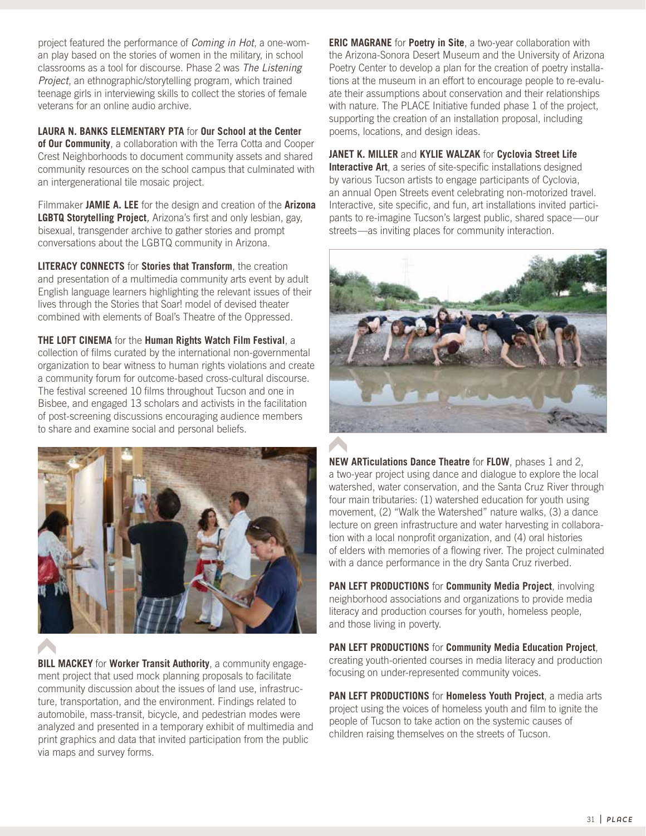project featured the performance of Coming in Hot, a one-woman play based on the stories of women in the military, in school classrooms as a tool for discourse. Phase 2 was The Listening Project, an ethnographic/storytelling program, which trained teenage girls in interviewing skills to collect the stories of female veterans for an online audio archive.

**LAURA N. BANKS ELEMENTARY PTA** for **Our School at the Center** 

**of Our Community**, a collaboration with the Terra Cotta and Cooper Crest Neighborhoods to document community assets and shared community resources on the school campus that culminated with an intergenerational tile mosaic project.

Filmmaker **JAMIE A. LEE** for the design and creation of the **Arizona LGBTQ Storytelling Project**, Arizona's first and only lesbian, gay, bisexual, transgender archive to gather stories and prompt conversations about the LGBTQ community in Arizona.

**LITERACY CONNECTS** for **Stories that Transform**, the creation and presentation of a multimedia community arts event by adult English language learners highlighting the relevant issues of their lives through the Stories that Soar! model of devised theater combined with elements of Boal's Theatre of the Oppressed.

**THE LOFT CINEMA** for the **Human Rights Watch Film Festival**, a collection of films curated by the international non-governmental organization to bear witness to human rights violations and create a community forum for outcome-based cross-cultural discourse. The festival screened 10 films throughout Tucson and one in Bisbee, and engaged 13 scholars and activists in the facilitation of post-screening discussions encouraging audience members to share and examine social and personal beliefs.



**BILL MACKEY** for **Worker Transit Authority**, a community engagement project that used mock planning proposals to facilitate community discussion about the issues of land use, infrastructure, transportation, and the environment. Findings related to automobile, mass-transit, bicycle, and pedestrian modes were analyzed and presented in a temporary exhibit of multimedia and print graphics and data that invited participation from the public via maps and survey forms.

**ERIC MAGRANE** for **Poetry in Site**, a two-year collaboration with the Arizona-Sonora Desert Museum and the University of Arizona Poetry Center to develop a plan for the creation of poetry installations at the museum in an effort to encourage people to re-evaluate their assumptions about conservation and their relationships with nature. The PLACE Initiative funded phase 1 of the project, supporting the creation of an installation proposal, including poems, locations, and design ideas.

**JANET K. MILLER** and **KYLIE WALZAK** for **Cyclovia Street Life**

**Interactive Art**, a series of site-specific installations designed by various Tucson artists to engage participants of Cyclovia, an annual Open Streets event celebrating non-motorized travel. Interactive, site specific, and fun, art installations invited participants to re-imagine Tucson's largest public, shared space—our streets—as inviting places for community interaction.



**NEW ARTiculations Dance Theatre** for **FLOW**, phases 1 and 2, a two-year project using dance and dialogue to explore the local watershed, water conservation, and the Santa Cruz River through four main tributaries: (1) watershed education for youth using movement, (2) "Walk the Watershed" nature walks, (3) a dance lecture on green infrastructure and water harvesting in collaboration with a local nonprofit organization, and (4) oral histories of elders with memories of a flowing river. The project culminated with a dance performance in the dry Santa Cruz riverbed.

**PAN LEFT PRODUCTIONS** for **Community Media Project**, involving neighborhood associations and organizations to provide media literacy and production courses for youth, homeless people, and those living in poverty.

**PAN LEFT PRODUCTIONS** for **Community Media Education Project**, creating youth-oriented courses in media literacy and production focusing on under-represented community voices.

**PAN LEFT PRODUCTIONS** for **Homeless Youth Project**, a media arts project using the voices of homeless youth and film to ignite the people of Tucson to take action on the systemic causes of children raising themselves on the streets of Tucson.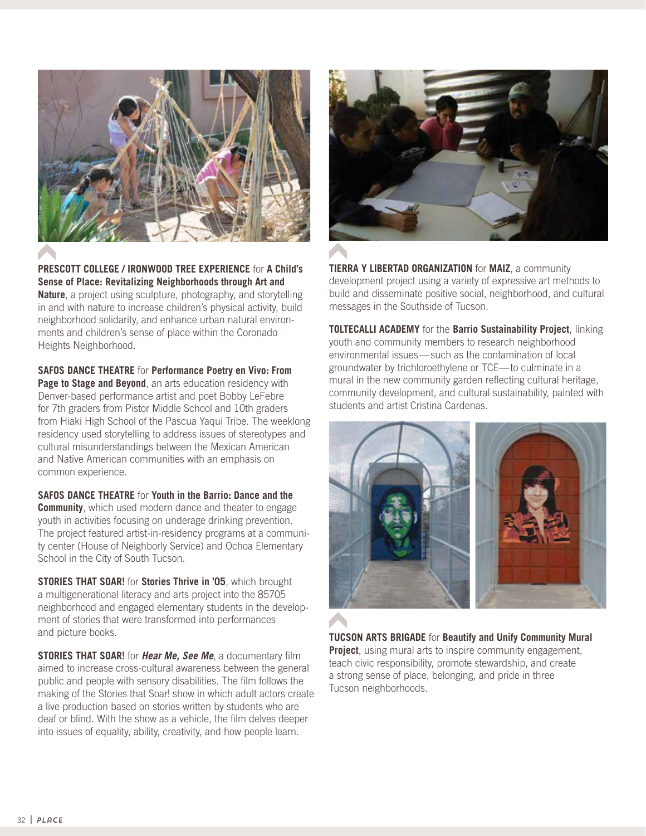

**PRESCOTT COLLEGE / IRONWOOD TREE EXPERIENCE** for **A Child's Sense of Place: Revitalizing Neighborhoods through Art and Nature**, a project using sculpture, photography, and storytelling in and with nature to increase children's physical activity, build neighborhood solidarity, and enhance urban natural environments and children's sense of place within the Coronado Heights Neighborhood.

**SAFOS DANCE THEATRE** for **Performance Poetry en Vivo: From Page to Stage and Beyond**, an arts education residency with Denver-based performance artist and poet Bobby LeFebre for 7th graders from Pistor Middle School and 10th graders from Hiaki High School of the Pascua Yaqui Tribe. The weeklong residency used storytelling to address issues of stereotypes and cultural misunderstandings between the Mexican American and Native American communities with an emphasis on common experience.

**SAFOS DANCE THEATRE** for **Youth in the Barrio: Dance and the Community**, which used modern dance and theater to engage youth in activities focusing on underage drinking prevention. The project featured artist-in-residency programs at a community center (House of Neighborly Service) and Ochoa Elementary School in the City of South Tucson.

**STORIES THAT SOAR!** for **Stories Thrive in '05**, which brought a multigenerational literacy and arts project into the 85705 neighborhood and engaged elementary students in the development of stories that were transformed into performances and picture books.

**STORIES THAT SOAR!** for **Hear Me, See Me**, a documentary film aimed to increase cross-cultural awareness between the general public and people with sensory disabilities. The film follows the making of the Stories that Soar! show in which adult actors create a live production based on stories written by students who are deaf or blind. With the show as a vehicle, the film delves deeper into issues of equality, ability, creativity, and how people learn.



**TIERRA Y LIBERTAD ORGANIZATION** for **MAIZ**, a community development project using a variety of expressive art methods to build and disseminate positive social, neighborhood, and cultural messages in the Southside of Tucson.

**TOLTECALLI ACADEMY** for the **Barrio Sustainability Project**, linking youth and community members to research neighborhood environmental issues—such as the contamination of local groundwater by trichloroethylene or TCE—to culminate in a mural in the new community garden reflecting cultural heritage, community development, and cultural sustainability, painted with students and artist Cristina Cardenas.



**TUCSON ARTS BRIGADE** for **Beautify and Unify Community Mural Project**, using mural arts to inspire community engagement, teach civic responsibility, promote stewardship, and create a strong sense of place, belonging, and pride in three Tucson neighborhoods.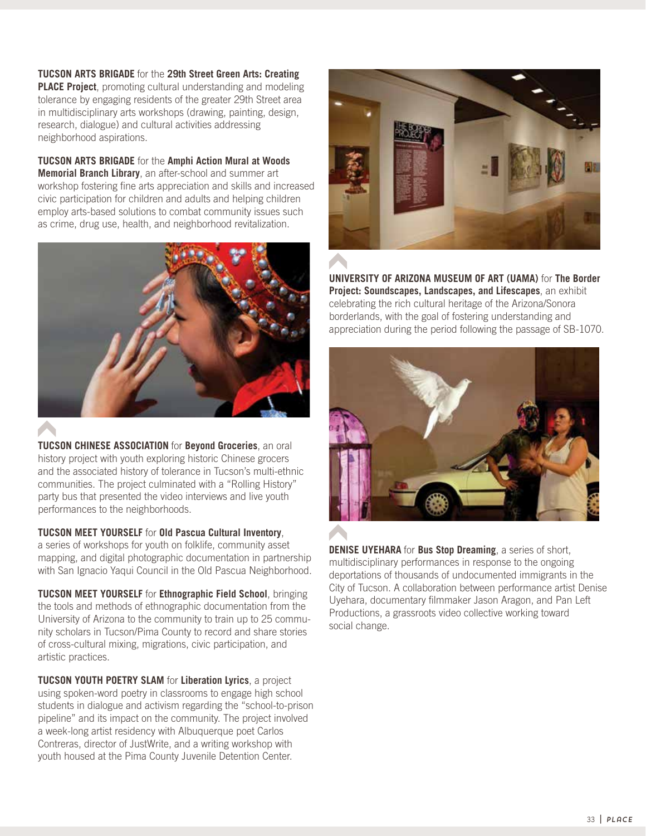**TUCSON ARTS BRIGADE** for the **29th Street Green Arts: Creating PLACE Project**, promoting cultural understanding and modeling tolerance by engaging residents of the greater 29th Street area in multidisciplinary arts workshops (drawing, painting, design, research, dialogue) and cultural activities addressing neighborhood aspirations.

**TUCSON ARTS BRIGADE** for the **Amphi Action Mural at Woods Memorial Branch Library**, an after-school and summer art workshop fostering fine arts appreciation and skills and increased civic participation for children and adults and helping children employ arts-based solutions to combat community issues such as crime, drug use, health, and neighborhood revitalization.



**TUCSON CHINESE ASSOCIATION** for **Beyond Groceries**, an oral history project with youth exploring historic Chinese grocers and the associated history of tolerance in Tucson's multi-ethnic communities. The project culminated with a "Rolling History" party bus that presented the video interviews and live youth performances to the neighborhoods.

## **TUCSON MEET YOURSELF** for **Old Pascua Cultural Inventory**,

a series of workshops for youth on folklife, community asset mapping, and digital photographic documentation in partnership with San Ignacio Yaqui Council in the Old Pascua Neighborhood.

**TUCSON MEET YOURSELF** for **Ethnographic Field School**, bringing the tools and methods of ethnographic documentation from the University of Arizona to the community to train up to 25 community scholars in Tucson/Pima County to record and share stories of cross-cultural mixing, migrations, civic participation, and artistic practices.

**TUCSON YOUTH POETRY SLAM** for **Liberation Lyrics**, a project using spoken-word poetry in classrooms to engage high school students in dialogue and activism regarding the "school-to-prison pipeline" and its impact on the community. The project involved a week-long artist residency with Albuquerque poet Carlos Contreras, director of JustWrite, and a writing workshop with youth housed at the Pima County Juvenile Detention Center.



**UNIVERSITY OF ARIZONA MUSEUM OF ART (UAMA)** for **The Border Project: Soundscapes, Landscapes, and Lifescapes**, an exhibit celebrating the rich cultural heritage of the Arizona/Sonora borderlands, with the goal of fostering understanding and appreciation during the period following the passage of SB-1070.



**DENISE UYEHARA** for **Bus Stop Dreaming**, a series of short, multidisciplinary performances in response to the ongoing deportations of thousands of undocumented immigrants in the City of Tucson. A collaboration between performance artist Denise Uyehara, documentary filmmaker Jason Aragon, and Pan Left Productions, a grassroots video collective working toward social change.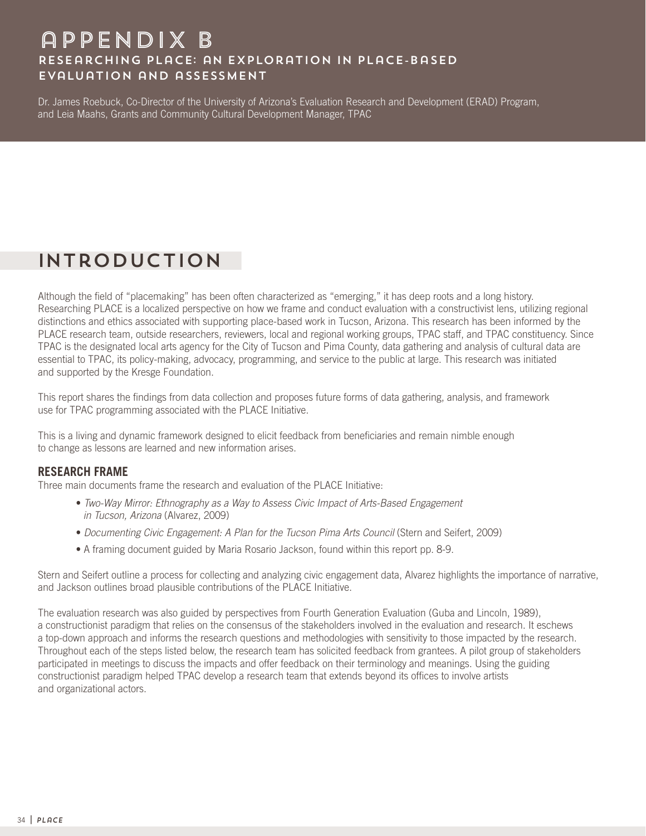# appendix B Researching PLaCE: an Exploration in Place-Based Evaluation and assessment

Dr. James Roebuck, Co-Director of the University of Arizona's Evaluation Research and Development (ERAD) Program, and Leia Maahs, Grants and Community Cultural Development Manager, TPAC

# Introduction

Although the field of "placemaking" has been often characterized as "emerging," it has deep roots and a long history. Researching PLACE is a localized perspective on how we frame and conduct evaluation with a constructivist lens, utilizing regional distinctions and ethics associated with supporting place-based work in Tucson, Arizona. This research has been informed by the PLACE research team, outside researchers, reviewers, local and regional working groups, TPAC staff, and TPAC constituency. Since TPAC is the designated local arts agency for the City of Tucson and Pima County, data gathering and analysis of cultural data are essential to TPAC, its policy-making, advocacy, programming, and service to the public at large. This research was initiated and supported by the Kresge Foundation.

This report shares the findings from data collection and proposes future forms of data gathering, analysis, and framework use for TPAC programming associated with the PLACE Initiative.

This is a living and dynamic framework designed to elicit feedback from beneficiaries and remain nimble enough to change as lessons are learned and new information arises.

## **RESEARCH FRAME**

Three main documents frame the research and evaluation of the PLACE Initiative:

- Two-Way Mirror: Ethnography as a Way to Assess Civic Impact of Arts-Based Engagement in Tucson, Arizona (Alvarez, 2009)
- Documenting Civic Engagement: A Plan for the Tucson Pima Arts Council (Stern and Seifert, 2009)
- A framing document guided by Maria Rosario Jackson, found within this report pp. 8-9.

Stern and Seifert outline a process for collecting and analyzing civic engagement data, Alvarez highlights the importance of narrative, and Jackson outlines broad plausible contributions of the PLACE Initiative.

The evaluation research was also guided by perspectives from Fourth Generation Evaluation (Guba and Lincoln, 1989), a constructionist paradigm that relies on the consensus of the stakeholders involved in the evaluation and research. It eschews a top-down approach and informs the research questions and methodologies with sensitivity to those impacted by the research. Throughout each of the steps listed below, the research team has solicited feedback from grantees. A pilot group of stakeholders participated in meetings to discuss the impacts and offer feedback on their terminology and meanings. Using the guiding constructionist paradigm helped TPAC develop a research team that extends beyond its offices to involve artists and organizational actors.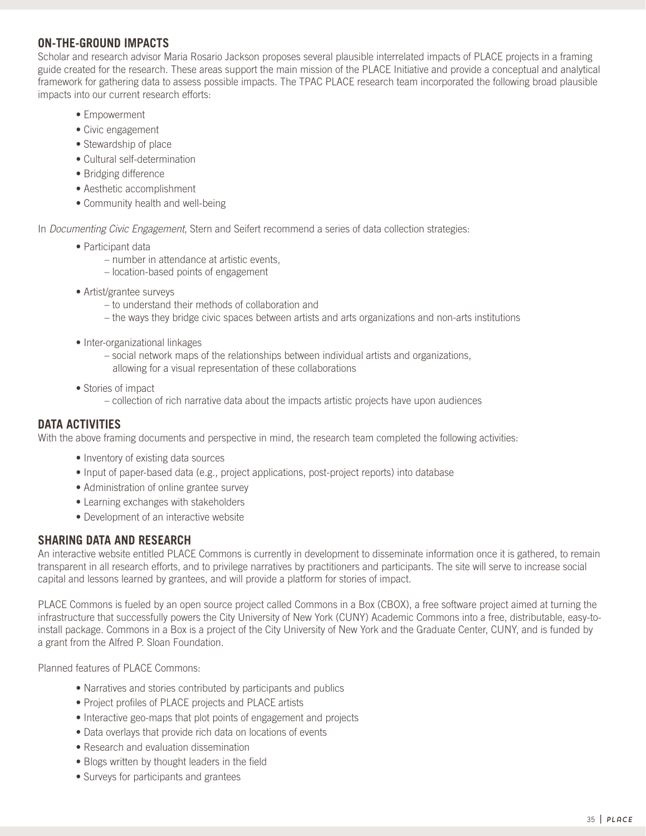## **ON-THE-GROUND IMPACTS**

Scholar and research advisor Maria Rosario Jackson proposes several plausible interrelated impacts of PLACE projects in a framing guide created for the research. These areas support the main mission of the PLACE Initiative and provide a conceptual and analytical framework for gathering data to assess possible impacts. The TPAC PLACE research team incorporated the following broad plausible impacts into our current research efforts:

- Empowerment
- Civic engagement
- Stewardship of place
- Cultural self-determination
- Bridging difference
- Aesthetic accomplishment
- Community health and well-being

In *Documenting Civic Engagement*, Stern and Seifert recommend a series of data collection strategies:

- Participant data
	- number in attendance at artistic events,
	- location-based points of engagement
- Artist/grantee surveys
	- to understand their methods of collaboration and
	- the ways they bridge civic spaces between artists and arts organizations and non-arts institutions
- Inter-organizational linkages
	- social network maps of the relationships between individual artists and organizations, allowing for a visual representation of these collaborations
- Stories of impact
	- collection of rich narrative data about the impacts artistic projects have upon audiences

# **DATA ACTIVITIES**

With the above framing documents and perspective in mind, the research team completed the following activities:

- Inventory of existing data sources
- Input of paper-based data (e.g., project applications, post-project reports) into database
- Administration of online grantee survey
- Learning exchanges with stakeholders
- Development of an interactive website

## **SHARING DATA AND RESEARCH**

An interactive website entitled PLACE Commons is currently in development to disseminate information once it is gathered, to remain transparent in all research efforts, and to privilege narratives by practitioners and participants. The site will serve to increase social capital and lessons learned by grantees, and will provide a platform for stories of impact.

PLACE Commons is fueled by an open source project called Commons in a Box (CBOX), a free software project aimed at turning the infrastructure that successfully powers the City University of New York (CUNY) Academic Commons into a free, distributable, easy-toinstall package. Commons in a Box is a project of the City University of New York and the Graduate Center, CUNY, and is funded by a grant from the Alfred P. Sloan Foundation.

Planned features of PLACE Commons:

- Narratives and stories contributed by participants and publics
- Project profiles of PLACE projects and PLACE artists
- Interactive geo-maps that plot points of engagement and projects
- Data overlays that provide rich data on locations of events
- Research and evaluation dissemination
- Blogs written by thought leaders in the field
- Surveys for participants and grantees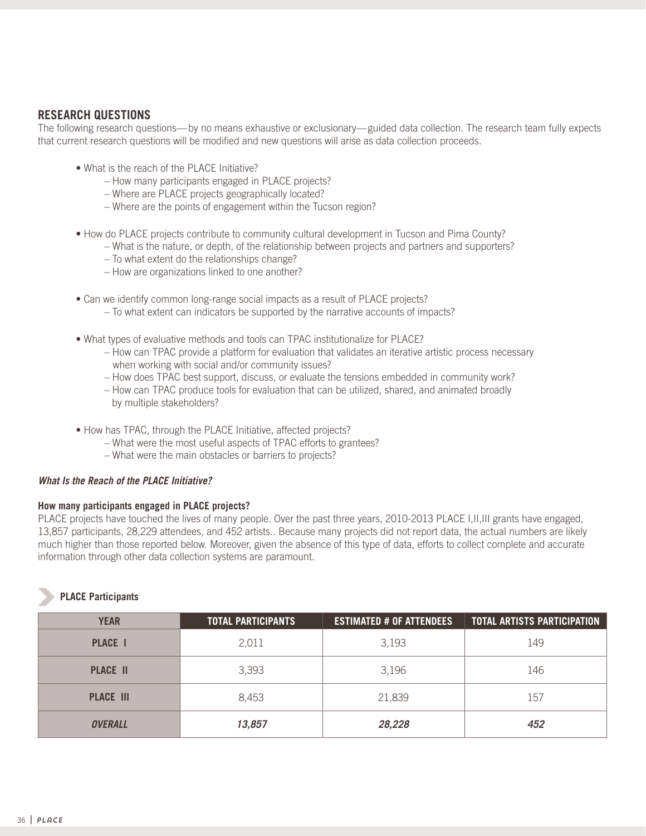# **RESEARCH QUESTIONS**

The following research questions—by no means exhaustive or exclusionary—guided data collection. The research team fully expects that current research questions will be modified and new questions will arise as data collection proceeds.

- What is the reach of the PLACE Initiative?
	- How many participants engaged in PLACE projects?
	- Where are PLACE projects geographically located?
	- Where are the points of engagement within the Tucson region?
- How do PLACE projects contribute to community cultural development in Tucson and Pima County?
	- What is the nature, or depth, of the relationship between projects and partners and supporters?
	- To what extent do the relationships change?
	- How are organizations linked to one another?
- Can we identify common long-range social impacts as a result of PLACE projects?
	- To what extent can indicators be supported by the narrative accounts of impacts?
- What types of evaluative methods and tools can TPAC institutionalize for PLACE?
	- How can TPAC provide a platform for evaluation that validates an iterative artistic process necessary when working with social and/or community issues?
	- How does TPAC best support, discuss, or evaluate the tensions embedded in community work?
	- How can TPAC produce tools for evaluation that can be utilized, shared, and animated broadly by multiple stakeholders?
- How has TPAC, through the PLACE Initiative, affected projects?
	- What were the most useful aspects of TPAC efforts to grantees?
	- What were the main obstacles or barriers to projects?

## **What Is the Reach of the PLACE Initiative?**

#### **How many participants engaged in PLACE projects?**

PLACE projects have touched the lives of many people. Over the past three years, 2010-2013 PLACE I,II,III grants have engaged, 13,857 participants, 28,229 attendees, and 452 artists.. Because many projects did not report data, the actual numbers are likely much higher than those reported below. Moreover, given the absence of this type of data, efforts to collect complete and accurate information through other data collection systems are paramount.

## **PLACE Participants**

| <b>YEAR</b>      | <b>TOTAL PARTICIPANTS</b> | <b>ESTIMATED # OF ATTENDEES</b> | <u>TOTAL ARTISTS PARTICIPATION</u> |
|------------------|---------------------------|---------------------------------|------------------------------------|
| <b>PLACE I</b>   | 2,011                     | 3,193                           | 149                                |
| <b>PLACE II</b>  | 3,393                     | 3,196                           | 146                                |
| <b>PLACE III</b> | 8,453                     | 21,839                          | 157                                |
| <b>OVERALL</b>   | 13,857                    | 28,228                          | 452                                |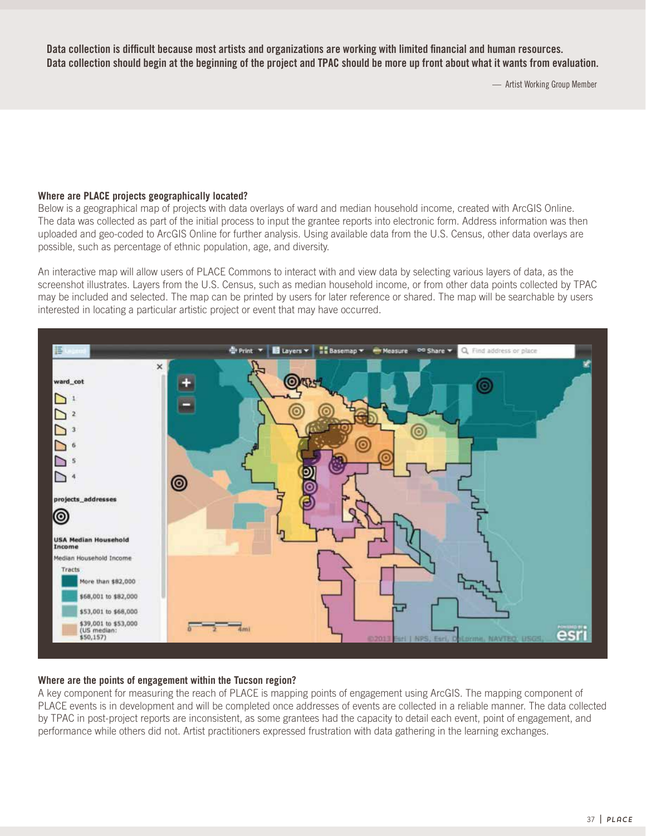**Data collection is difficult because most artists and organizations are working with limited financial and human resources. Data collection should begin at the beginning of the project and TPAC should be more up front about what it wants from evaluation.** 

— Artist Working Group Member

#### **Where are PLACE projects geographically located?**

Below is a geographical map of projects with data overlays of ward and median household income, created with ArcGIS Online. The data was collected as part of the initial process to input the grantee reports into electronic form. Address information was then uploaded and geo-coded to ArcGIS Online for further analysis. Using available data from the U.S. Census, other data overlays are possible, such as percentage of ethnic population, age, and diversity.

An interactive map will allow users of PLACE Commons to interact with and view data by selecting various layers of data, as the screenshot illustrates. Layers from the U.S. Census, such as median household income, or from other data points collected by TPAC may be included and selected. The map can be printed by users for later reference or shared. The map will be searchable by users interested in locating a particular artistic project or event that may have occurred.



## **Where are the points of engagement within the Tucson region?**

A key component for measuring the reach of PLACE is mapping points of engagement using ArcGIS. The mapping component of PLACE events is in development and will be completed once addresses of events are collected in a reliable manner. The data collected by TPAC in post-project reports are inconsistent, as some grantees had the capacity to detail each event, point of engagement, and performance while others did not. Artist practitioners expressed frustration with data gathering in the learning exchanges.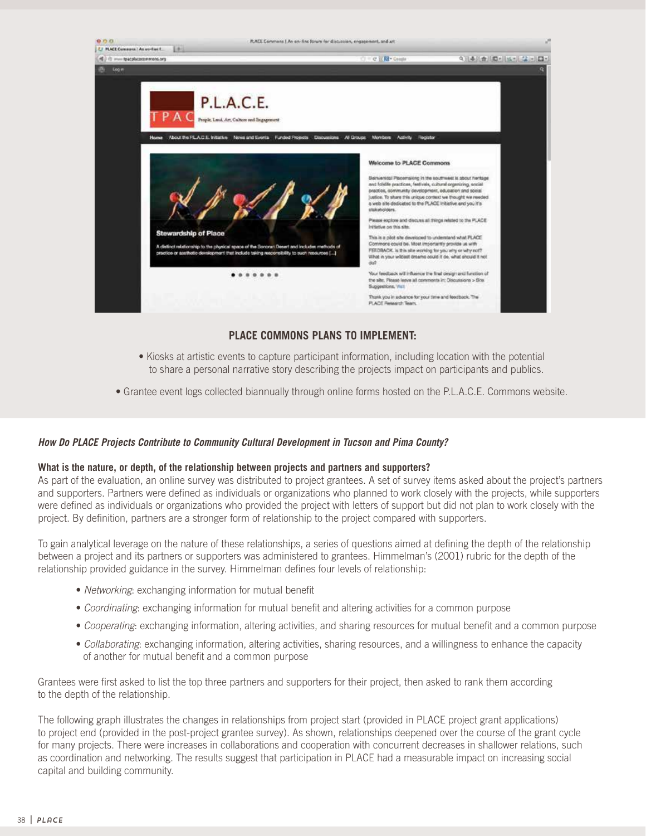

## **PLACE COMMONS PLANS TO IMPLEMENT:**

- Kiosks at artistic events to capture participant information, including location with the potential to share a personal narrative story describing the projects impact on participants and publics.
- Grantee event logs collected biannually through online forms hosted on the P.L.A.C.E. Commons website.

#### **How Do PLACE Projects Contribute to Community Cultural Development in Tucson and Pima County?**

#### **What is the nature, or depth, of the relationship between projects and partners and supporters?**

As part of the evaluation, an online survey was distributed to project grantees. A set of survey items asked about the project's partners and supporters. Partners were defined as individuals or organizations who planned to work closely with the projects, while supporters were defined as individuals or organizations who provided the project with letters of support but did not plan to work closely with the project. By definition, partners are a stronger form of relationship to the project compared with supporters.

To gain analytical leverage on the nature of these relationships, a series of questions aimed at defining the depth of the relationship between a project and its partners or supporters was administered to grantees. Himmelman's (2001) rubric for the depth of the relationship provided guidance in the survey. Himmelman defines four levels of relationship:

- Networking: exchanging information for mutual benefit
- Coordinating: exchanging information for mutual benefit and altering activities for a common purpose
- Cooperating: exchanging information, altering activities, and sharing resources for mutual benefit and a common purpose
- Collaborating: exchanging information, altering activities, sharing resources, and a willingness to enhance the capacity of another for mutual benefit and a common purpose

Grantees were first asked to list the top three partners and supporters for their project, then asked to rank them according to the depth of the relationship.

The following graph illustrates the changes in relationships from project start (provided in PLACE project grant applications) to project end (provided in the post-project grantee survey). As shown, relationships deepened over the course of the grant cycle for many projects. There were increases in collaborations and cooperation with concurrent decreases in shallower relations, such as coordination and networking. The results suggest that participation in PLACE had a measurable impact on increasing social capital and building community.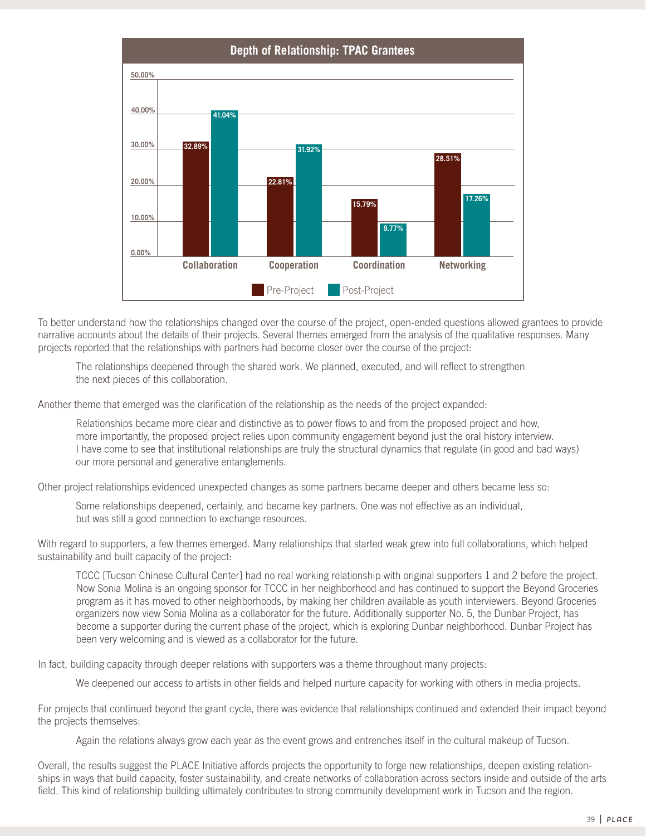

To better understand how the relationships changed over the course of the project, open-ended questions allowed grantees to provide narrative accounts about the details of their projects. Several themes emerged from the analysis of the qualitative responses. Many projects reported that the relationships with partners had become closer over the course of the project:

The relationships deepened through the shared work. We planned, executed, and will reflect to strengthen the next pieces of this collaboration.

Another theme that emerged was the clarification of the relationship as the needs of the project expanded:

Relationships became more clear and distinctive as to power flows to and from the proposed project and how, more importantly, the proposed project relies upon community engagement beyond just the oral history interview. I have come to see that institutional relationships are truly the structural dynamics that regulate (in good and bad ways) our more personal and generative entanglements.

Other project relationships evidenced unexpected changes as some partners became deeper and others became less so:

Some relationships deepened, certainly, and became key partners. One was not effective as an individual, but was still a good connection to exchange resources.

With regard to supporters, a few themes emerged. Many relationships that started weak grew into full collaborations, which helped sustainability and built capacity of the project:

TCCC [Tucson Chinese Cultural Center] had no real working relationship with original supporters 1 and 2 before the project. Now Sonia Molina is an ongoing sponsor for TCCC in her neighborhood and has continued to support the Beyond Groceries program as it has moved to other neighborhoods, by making her children available as youth interviewers. Beyond Groceries organizers now view Sonia Molina as a collaborator for the future. Additionally supporter No. 5, the Dunbar Project, has become a supporter during the current phase of the project, which is exploring Dunbar neighborhood. Dunbar Project has been very welcoming and is viewed as a collaborator for the future.

In fact, building capacity through deeper relations with supporters was a theme throughout many projects:

We deepened our access to artists in other fields and helped nurture capacity for working with others in media projects.

For projects that continued beyond the grant cycle, there was evidence that relationships continued and extended their impact beyond the projects themselves:

Again the relations always grow each year as the event grows and entrenches itself in the cultural makeup of Tucson.

Overall, the results suggest the PLACE Initiative affords projects the opportunity to forge new relationships, deepen existing relationships in ways that build capacity, foster sustainability, and create networks of collaboration across sectors inside and outside of the arts field. This kind of relationship building ultimately contributes to strong community development work in Tucson and the region.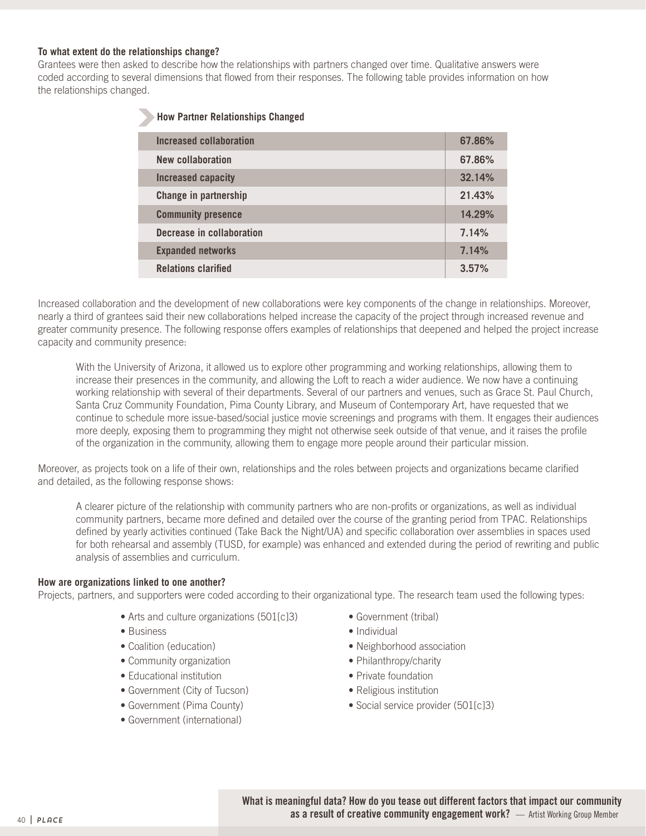#### **To what extent do the relationships change?**

Grantees were then asked to describe how the relationships with partners changed over time. Qualitative answers were coded according to several dimensions that flowed from their responses. The following table provides information on how the relationships changed.

| <b>How Partner Relationships Changed</b> |  |  |  |
|------------------------------------------|--|--|--|
| 67.86%                                   |  |  |  |
| 67.86%                                   |  |  |  |
| 32.14%                                   |  |  |  |
| 21.43%                                   |  |  |  |
| 14.29%                                   |  |  |  |
| 7.14%                                    |  |  |  |
| 7.14%                                    |  |  |  |
| 3.57%                                    |  |  |  |
|                                          |  |  |  |

Increased collaboration and the development of new collaborations were key components of the change in relationships. Moreover, nearly a third of grantees said their new collaborations helped increase the capacity of the project through increased revenue and greater community presence. The following response offers examples of relationships that deepened and helped the project increase capacity and community presence:

With the University of Arizona, it allowed us to explore other programming and working relationships, allowing them to increase their presences in the community, and allowing the Loft to reach a wider audience. We now have a continuing working relationship with several of their departments. Several of our partners and venues, such as Grace St. Paul Church, Santa Cruz Community Foundation, Pima County Library, and Museum of Contemporary Art, have requested that we continue to schedule more issue-based/social justice movie screenings and programs with them. It engages their audiences more deeply, exposing them to programming they might not otherwise seek outside of that venue, and it raises the profile of the organization in the community, allowing them to engage more people around their particular mission.

Moreover, as projects took on a life of their own, relationships and the roles between projects and organizations became clarified and detailed, as the following response shows:

A clearer picture of the relationship with community partners who are non-profits or organizations, as well as individual community partners, became more defined and detailed over the course of the granting period from TPAC. Relationships defined by yearly activities continued (Take Back the Night/UA) and specific collaboration over assemblies in spaces used for both rehearsal and assembly (TUSD, for example) was enhanced and extended during the period of rewriting and public analysis of assemblies and curriculum.

#### **How are organizations linked to one another?**

Projects, partners, and supporters were coded according to their organizational type. The research team used the following types:

- Arts and culture organizations (501[c]3)
- Business
- Coalition (education)
- Community organization
- Educational institution
- Government (City of Tucson)
- Government (Pima County)
- Government (international)
- Government (tribal)
- Individual
- Neighborhood association
- Philanthropy/charity
- Private foundation
- Religious institution
- Social service provider (501[c]3)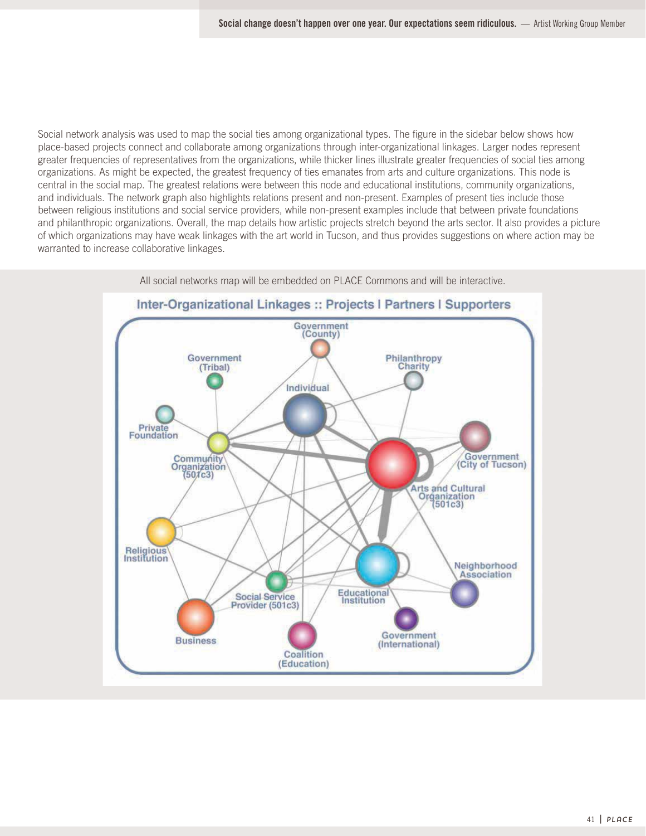Social network analysis was used to map the social ties among organizational types. The figure in the sidebar below shows how place-based projects connect and collaborate among organizations through inter-organizational linkages. Larger nodes represent greater frequencies of representatives from the organizations, while thicker lines illustrate greater frequencies of social ties among organizations. As might be expected, the greatest frequency of ties emanates from arts and culture organizations. This node is central in the social map. The greatest relations were between this node and educational institutions, community organizations, and individuals. The network graph also highlights relations present and non-present. Examples of present ties include those between religious institutions and social service providers, while non-present examples include that between private foundations and philanthropic organizations. Overall, the map details how artistic projects stretch beyond the arts sector. It also provides a picture of which organizations may have weak linkages with the art world in Tucson, and thus provides suggestions on where action may be warranted to increase collaborative linkages.



All social networks map will be embedded on PLACE Commons and will be interactive.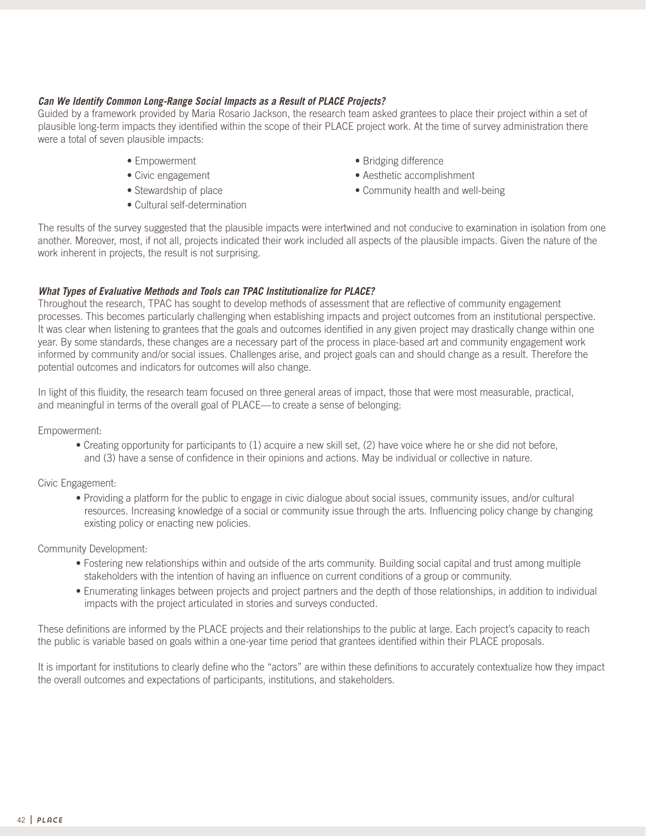#### **Can We Identify Common Long-Range Social Impacts as a Result of PLACE Projects?**

Guided by a framework provided by Maria Rosario Jackson, the research team asked grantees to place their project within a set of plausible long-term impacts they identified within the scope of their PLACE project work. At the time of survey administration there were a total of seven plausible impacts:

- Empowerment
- Civic engagement
- Stewardship of place
- Cultural self-determination
- Bridging difference
- Aesthetic accomplishment
- Community health and well-being

The results of the survey suggested that the plausible impacts were intertwined and not conducive to examination in isolation from one another. Moreover, most, if not all, projects indicated their work included all aspects of the plausible impacts. Given the nature of the work inherent in projects, the result is not surprising.

#### **What Types of Evaluative Methods and Tools can TPAC Institutionalize for PLACE?**

Throughout the research, TPAC has sought to develop methods of assessment that are reflective of community engagement processes. This becomes particularly challenging when establishing impacts and project outcomes from an institutional perspective. It was clear when listening to grantees that the goals and outcomes identified in any given project may drastically change within one year. By some standards, these changes are a necessary part of the process in place-based art and community engagement work informed by community and/or social issues. Challenges arise, and project goals can and should change as a result. Therefore the potential outcomes and indicators for outcomes will also change.

In light of this fluidity, the research team focused on three general areas of impact, those that were most measurable, practical, and meaningful in terms of the overall goal of PLACE—to create a sense of belonging:

Empowerment:

• Creating opportunity for participants to (1) acquire a new skill set, (2) have voice where he or she did not before, and (3) have a sense of confidence in their opinions and actions. May be individual or collective in nature.

Civic Engagement:

• Providing a platform for the public to engage in civic dialogue about social issues, community issues, and/or cultural resources. Increasing knowledge of a social or community issue through the arts. Influencing policy change by changing existing policy or enacting new policies.

Community Development:

- Fostering new relationships within and outside of the arts community. Building social capital and trust among multiple stakeholders with the intention of having an influence on current conditions of a group or community.
- Enumerating linkages between projects and project partners and the depth of those relationships, in addition to individual impacts with the project articulated in stories and surveys conducted.

These definitions are informed by the PLACE projects and their relationships to the public at large. Each project's capacity to reach the public is variable based on goals within a one-year time period that grantees identified within their PLACE proposals.

It is important for institutions to clearly define who the "actors" are within these definitions to accurately contextualize how they impact the overall outcomes and expectations of participants, institutions, and stakeholders.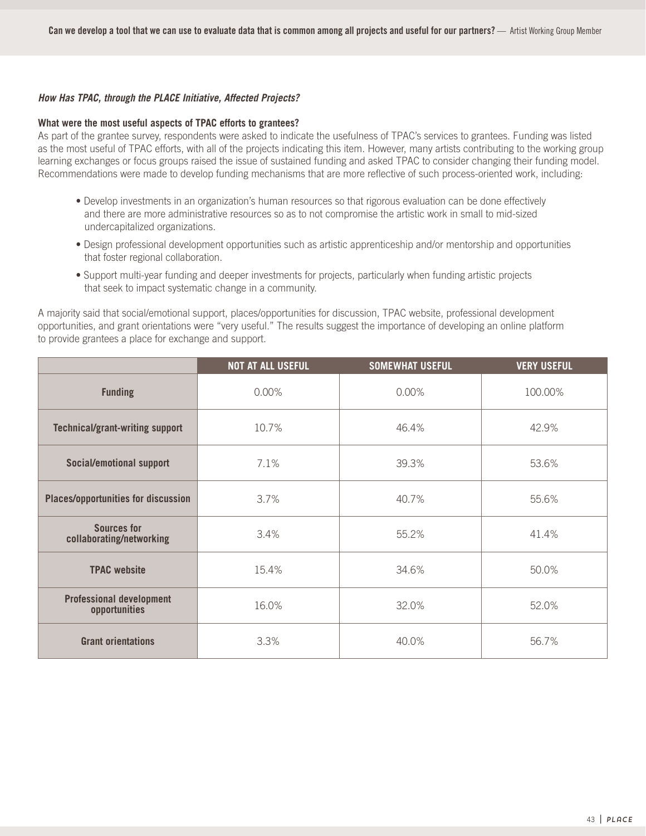#### **How Has TPAC, through the PLACE Initiative, Affected Projects?**

#### **What were the most useful aspects of TPAC efforts to grantees?**

As part of the grantee survey, respondents were asked to indicate the usefulness of TPAC's services to grantees. Funding was listed as the most useful of TPAC efforts, with all of the projects indicating this item. However, many artists contributing to the working group learning exchanges or focus groups raised the issue of sustained funding and asked TPAC to consider changing their funding model. Recommendations were made to develop funding mechanisms that are more reflective of such process-oriented work, including:

- Develop investments in an organization's human resources so that rigorous evaluation can be done effectively and there are more administrative resources so as to not compromise the artistic work in small to mid-sized undercapitalized organizations.
- Design professional development opportunities such as artistic apprenticeship and/or mentorship and opportunities that foster regional collaboration.
- Support multi-year funding and deeper investments for projects, particularly when funding artistic projects that seek to impact systematic change in a community.

A majority said that social/emotional support, places/opportunities for discussion, TPAC website, professional development opportunities, and grant orientations were "very useful." The results suggest the importance of developing an online platform to provide grantees a place for exchange and support.

|                                                  | <b>NOT AT ALL USEFUL</b> | <b>SOMEWHAT USEFUL</b> | <b>VERY USEFUL</b> |
|--------------------------------------------------|--------------------------|------------------------|--------------------|
| <b>Funding</b>                                   | 0.00%                    | 0.00%                  | 100.00%            |
| <b>Technical/grant-writing support</b>           | 10.7%                    | 46.4%                  | 42.9%              |
| Social/emotional support                         | 7.1%                     | 39.3%                  | 53.6%              |
| <b>Places/opportunities for discussion</b>       | 3.7%                     | 40.7%                  | 55.6%              |
| <b>Sources for</b><br>collaborating/networking   | 3.4%                     | 55.2%                  | 41.4%              |
| <b>TPAC website</b>                              | 15.4%                    | 34.6%                  | 50.0%              |
| <b>Professional development</b><br>opportunities | 16.0%                    | 32.0%                  | 52.0%              |
| <b>Grant orientations</b>                        | 3.3%                     | 40.0%                  | 56.7%              |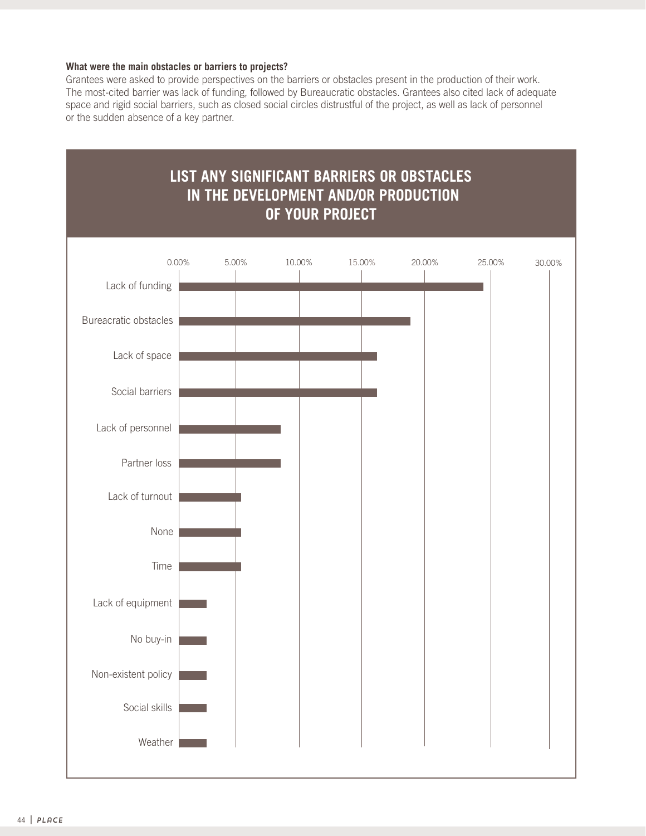#### **What were the main obstacles or barriers to projects?**

Grantees were asked to provide perspectives on the barriers or obstacles present in the production of their work. The most-cited barrier was lack of funding, followed by Bureaucratic obstacles. Grantees also cited lack of adequate space and rigid social barriers, such as closed social circles distrustful of the project, as well as lack of personnel or the sudden absence of a key partner.

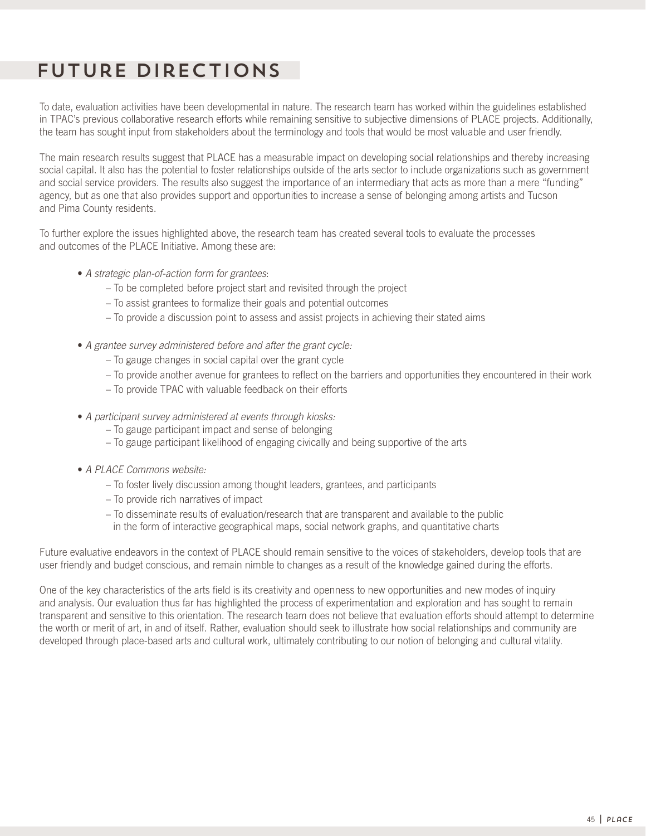# Future Directions

To date, evaluation activities have been developmental in nature. The research team has worked within the guidelines established in TPAC's previous collaborative research efforts while remaining sensitive to subjective dimensions of PLACE projects. Additionally, the team has sought input from stakeholders about the terminology and tools that would be most valuable and user friendly.

The main research results suggest that PLACE has a measurable impact on developing social relationships and thereby increasing social capital. It also has the potential to foster relationships outside of the arts sector to include organizations such as government and social service providers. The results also suggest the importance of an intermediary that acts as more than a mere "funding" agency, but as one that also provides support and opportunities to increase a sense of belonging among artists and Tucson and Pima County residents.

To further explore the issues highlighted above, the research team has created several tools to evaluate the processes and outcomes of the PLACE Initiative. Among these are:

- A strategic plan-of-action form for grantees:
	- To be completed before project start and revisited through the project
	- To assist grantees to formalize their goals and potential outcomes
	- To provide a discussion point to assess and assist projects in achieving their stated aims
- A grantee survey administered before and after the grant cycle:
	- To gauge changes in social capital over the grant cycle
	- To provide another avenue for grantees to reflect on the barriers and opportunities they encountered in their work
	- To provide TPAC with valuable feedback on their efforts
- A participant survey administered at events through kiosks:
	- To gauge participant impact and sense of belonging
	- To gauge participant likelihood of engaging civically and being supportive of the arts
- A PLACE Commons website:
	- To foster lively discussion among thought leaders, grantees, and participants
	- To provide rich narratives of impact
	- To disseminate results of evaluation/research that are transparent and available to the public
	- in the form of interactive geographical maps, social network graphs, and quantitative charts

Future evaluative endeavors in the context of PLACE should remain sensitive to the voices of stakeholders, develop tools that are user friendly and budget conscious, and remain nimble to changes as a result of the knowledge gained during the efforts.

One of the key characteristics of the arts field is its creativity and openness to new opportunities and new modes of inquiry and analysis. Our evaluation thus far has highlighted the process of experimentation and exploration and has sought to remain transparent and sensitive to this orientation. The research team does not believe that evaluation efforts should attempt to determine the worth or merit of art, in and of itself. Rather, evaluation should seek to illustrate how social relationships and community are developed through place-based arts and cultural work, ultimately contributing to our notion of belonging and cultural vitality.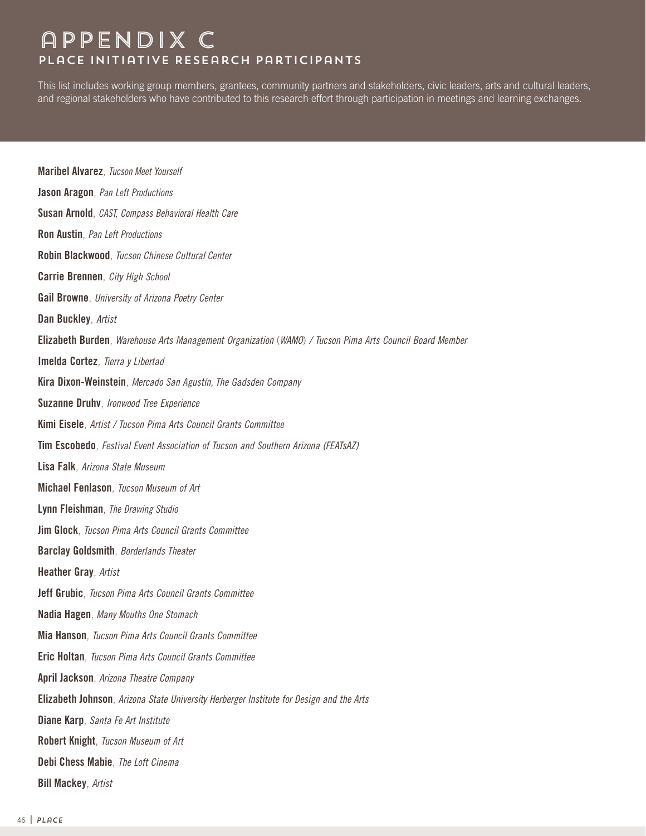# appendix c PLaCE Initiative Research Participants

This list includes working group members, grantees, community partners and stakeholders, civic leaders, arts and cultural leaders, and regional stakeholders who have contributed to this research effort through participation in meetings and learning exchanges.

**Maribel Alvarez**, Tucson Meet Yourself **Jason Aragon**, Pan Left Productions **Susan Arnold**, CAST, Compass Behavioral Health Care **Ron Austin**, Pan Left Productions **Robin Blackwood**, Tucson Chinese Cultural Center **Carrie Brennen**, City High School **Gail Browne**, University of Arizona Poetry Center **Dan Buckley**, Artist **Elizabeth Burden**, Warehouse Arts Management Organization (WAMO) / Tucson Pima Arts Council Board Member **Imelda Cortez**, Tierra y Libertad **Kira Dixon-Weinstein**, Mercado San Agustín, The Gadsden Company **Suzanne Druhv**, Ironwood Tree Experience **Kimi Eisele**, Artist / Tucson Pima Arts Council Grants Committee **Tim Escobedo**, Festival Event Association of Tucson and Southern Arizona (FEATsAZ) **Lisa Falk**, Arizona State Museum **Michael Fenlason**, Tucson Museum of Art **Lynn Fleishman**, The Drawing Studio **Jim Glock**, Tucson Pima Arts Council Grants Committee **Barclay Goldsmith**, Borderlands Theater **Heather Gray**, Artist **Jeff Grubic**, Tucson Pima Arts Council Grants Committee **Nadia Hagen**, Many Mouths One Stomach **Mia Hanson**, Tucson Pima Arts Council Grants Committee **Eric Holtan**, Tucson Pima Arts Council Grants Committee **April Jackson**, Arizona Theatre Company **Elizabeth Johnson**, Arizona State University Herberger Institute for Design and the Arts **Diane Karp**, Santa Fe Art Institute **Robert Knight**, Tucson Museum of Art **Debi Chess Mabie**, The Loft Cinema **Bill Mackey**, Artist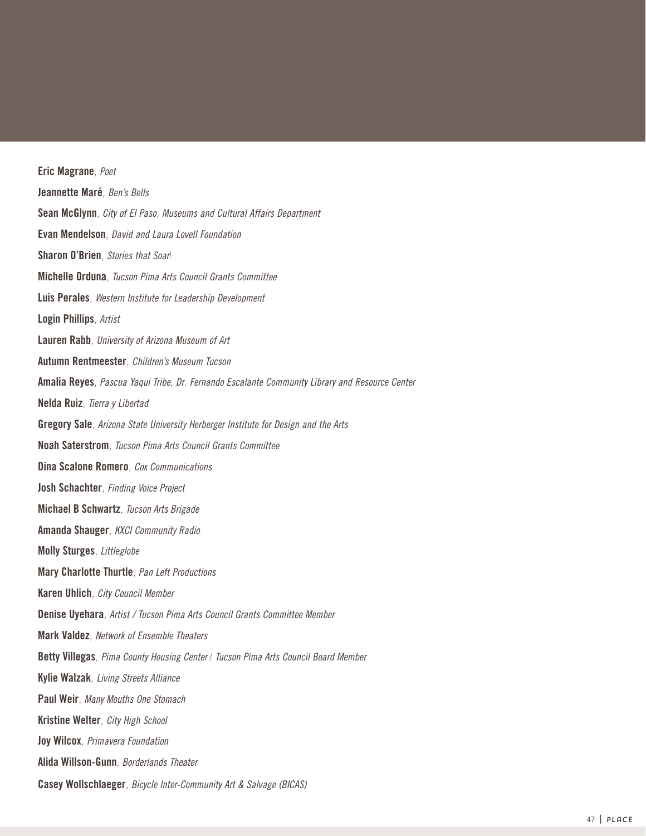**Eric Magrane**, Poet **Jeannette Maré**, Ben's Bells **Sean McGlynn**, City of El Paso, Museums and Cultural Affairs Department **Evan Mendelson**, David and Laura Lovell Foundation **Sharon O'Brien**, Stories that Soar! **Michelle Orduna**, Tucson Pima Arts Council Grants Committee **Luis Perales**, Western Institute for Leadership Development **Login Phillips**, Artist **Lauren Rabb**, University of Arizona Museum of Art **Autumn Rentmeester**, Children's Museum Tucson **Amalia Reyes**, Pascua Yaqui Tribe, Dr. Fernando Escalante Community Library and Resource Center **Nelda Ruiz**, Tierra y Libertad **Gregory Sale**, Arizona State University Herberger Institute for Design and the Arts **Noah Saterstrom**, Tucson Pima Arts Council Grants Committee **Dina Scalone Romero**, Cox Communications **Josh Schachter**, Finding Voice Project **Michael B Schwartz**, Tucson Arts Brigade **Amanda Shauger**, KXCI Community Radio **Molly Sturges**, Littleglobe **Mary Charlotte Thurtle**, Pan Left Productions **Karen Uhlich**, City Council Member **Denise Uyehara**, Artist / Tucson Pima Arts Council Grants Committee Member **Mark Valdez**, Network of Ensemble Theaters **Betty Villegas**, Pima County Housing Center / Tucson Pima Arts Council Board Member **Kylie Walzak**, Living Streets Alliance **Paul Weir**, Many Mouths One Stomach **Kristine Welter**, City High School **Joy Wilcox**, Primavera Foundation **Alida Willson-Gunn**, Borderlands Theater **Casey Wollschlaeger**, Bicycle Inter-Community Art & Salvage (BICAS)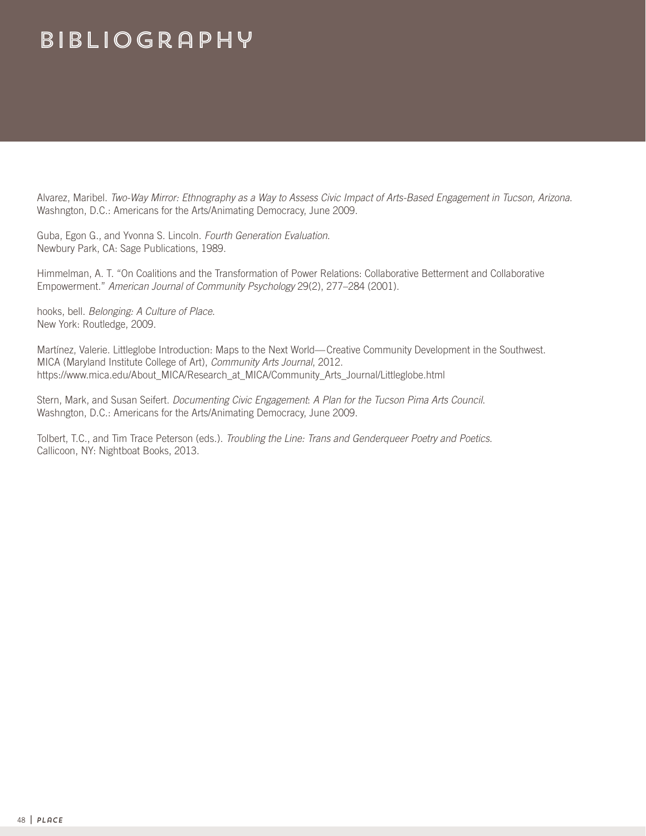# Bibliography

Alvarez, Maribel. Two-Way Mirror: Ethnography as a Way to Assess Civic Impact of Arts-Based Engagement in Tucson, Arizona. Washngton, D.C.: Americans for the Arts/Animating Democracy, June 2009.

Guba, Egon G., and Yvonna S. Lincoln. Fourth Generation Evaluation. Newbury Park, CA: Sage Publications, 1989.

Himmelman, A. T. "On Coalitions and the Transformation of Power Relations: Collaborative Betterment and Collaborative Empowerment." American Journal of Community Psychology 29(2), 277–284 (2001).

hooks, bell. Belonging: A Culture of Place. New York: Routledge, 2009.

Martínez, Valerie. Littleglobe Introduction: Maps to the Next World—Creative Community Development in the Southwest. MICA (Maryland Institute College of Art), Community Arts Journal, 2012. https://www.mica.edu/About\_MICA/Research\_at\_MICA/Community\_Arts\_Journal/Littleglobe.html

Stern, Mark, and Susan Seifert. Documenting Civic Engagement: A Plan for the Tucson Pima Arts Council. Washngton, D.C.: Americans for the Arts/Animating Democracy, June 2009.

Tolbert, T.C., and Tim Trace Peterson (eds.). Troubling the Line: Trans and Genderqueer Poetry and Poetics. Callicoon, NY: Nightboat Books, 2013.